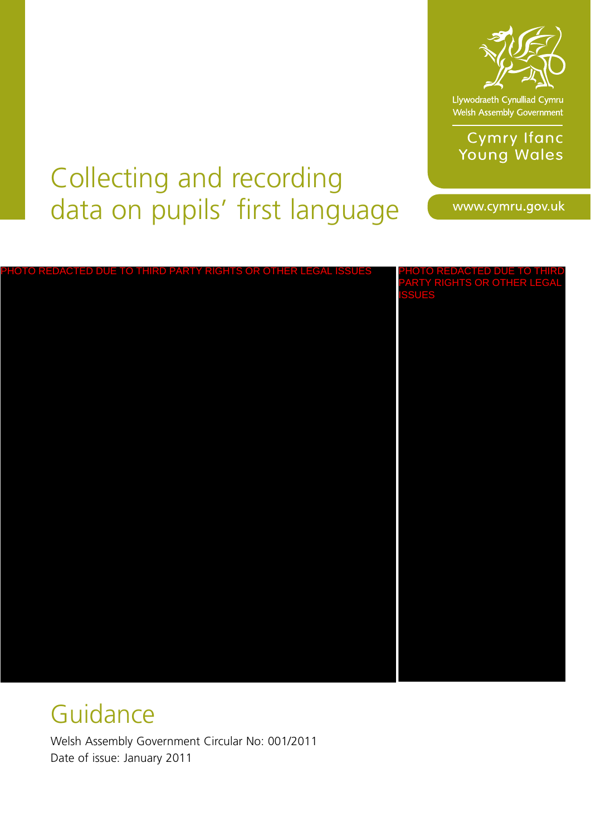

Llywodraeth Cynulliad Cymru<br>Welsh Assembly Government

**Cymry Ifanc** Young Wales

# Collecting and recording data on pupils' first language

www.cymru.gov.uk

| PHOTO REDACTED DUE TO THIRD PARTY RIGHTS OR OTHER LEGAL ISSUES | PHOTO REDACTED DUE TO THIRD<br>PARTY RIGHTS OR OTHER LEGAL<br>ISSUES |
|----------------------------------------------------------------|----------------------------------------------------------------------|
|                                                                |                                                                      |
|                                                                |                                                                      |
|                                                                |                                                                      |
|                                                                |                                                                      |
|                                                                |                                                                      |
|                                                                |                                                                      |
|                                                                |                                                                      |

# Guidance

Welsh Assembly Government Circular No: 001/2011 Date of issue: January 2011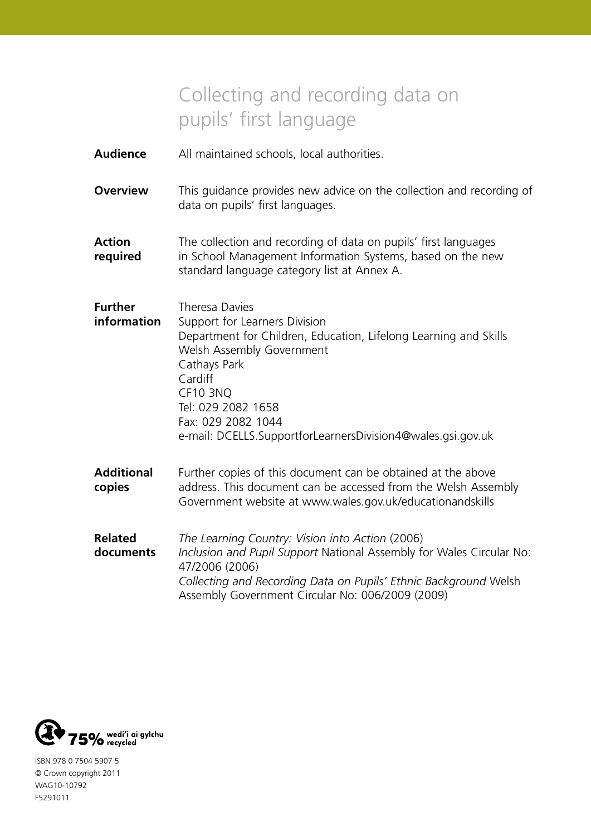# Collecting and recording data on pupils' first language

- **Audience** All maintained schools, local authorities.
- **Overview** This guidance provides new advice on the collection and recording of data on pupils' first languages.
- **Action** The collection and recording of data on pupils' first languages **required** in School Management Information Systems, based on the new standard language category list at Annex A.
- **Further** Theresa Davies **information** Support for Learners Division Department for Children, Education, Lifelong Learning and Skills Welsh Assembly Government Cathays Park Cardiff CF10 3NQ Tel: 029 2082 1658 Fax: 029 2082 1044 e-mail: DCELLS.SupportforLearnersDivision4@wales.gsi.gov.uk
- **Additional** Further copies of this document can be obtained at the above **copies** address. This document can be accessed from the Welsh Assembly Government website at www.wales.gov.uk/educationandskills
- **Related** *The Learning Country: Vision into Action* (2006) **documents** *Inclusion and Pupil Support* National Assembly for Wales Circular No: 47/2006 (2006) *Collecting and Recording Data on Pupils' Ethnic Background* Welsh Assembly Government Circular No: 006/2009 (2009)



ISBN 978 0 7504 5907 5 © Crown copyright 2011 WAG10-10792 F5291011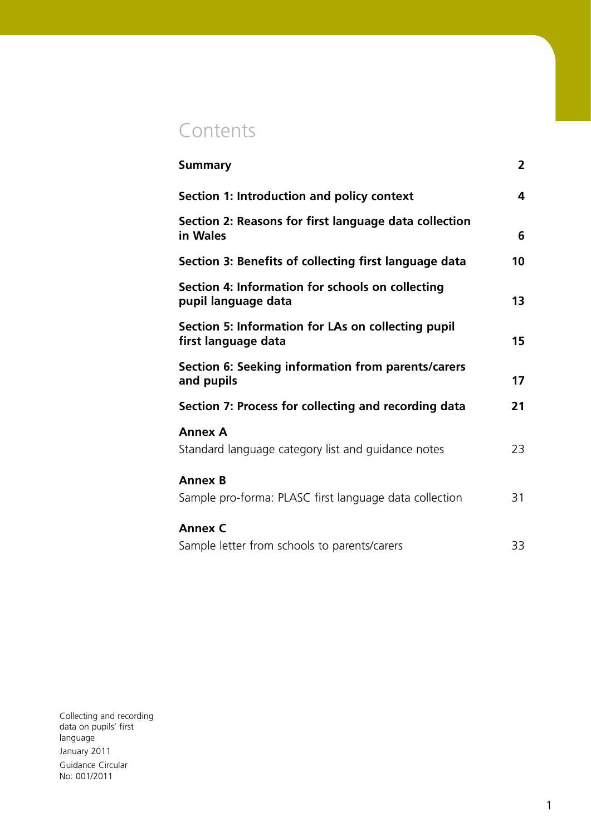# **Contents**

| <b>Summary</b>                                                            | $\overline{2}$ |
|---------------------------------------------------------------------------|----------------|
| Section 1: Introduction and policy context                                | 4              |
| Section 2: Reasons for first language data collection<br>in Wales         | 6              |
| Section 3: Benefits of collecting first language data                     | 10             |
| Section 4: Information for schools on collecting<br>pupil language data   | 13             |
| Section 5: Information for LAs on collecting pupil<br>first language data | 15             |
| Section 6: Seeking information from parents/carers<br>and pupils          | 17             |
| Section 7: Process for collecting and recording data                      | 21             |
| <b>Annex A</b><br>Standard language category list and guidance notes      | 23             |
| <b>Annex B</b><br>Sample pro-forma: PLASC first language data collection  | 31             |
| <b>Annex C</b><br>Sample letter from schools to parents/carers            | 33             |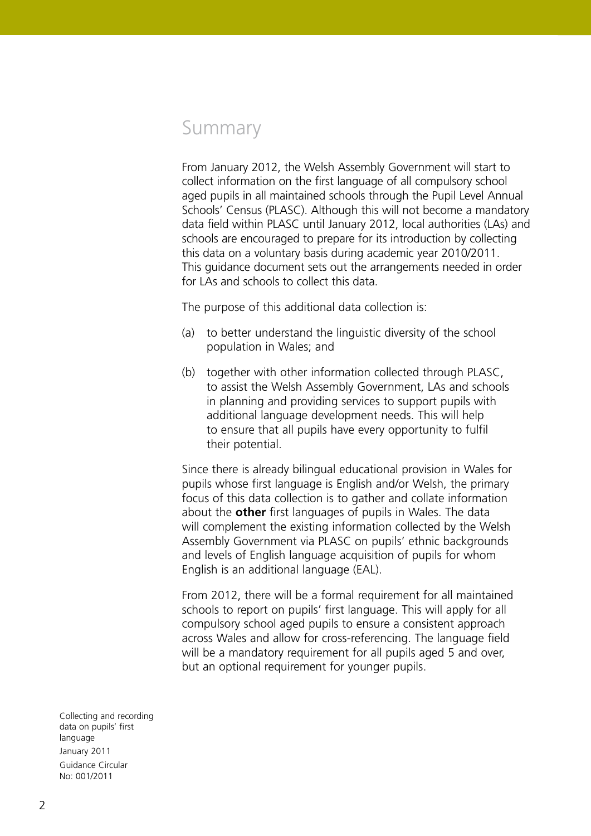# Summary

From January 2012, the Welsh Assembly Government will start to collect information on the first language of all compulsory school aged pupils in all maintained schools through the Pupil Level Annual Schools' Census (PLASC). Although this will not become a mandatory data field within PLASC until January 2012, local authorities (LAs) and schools are encouraged to prepare for its introduction by collecting this data on a voluntary basis during academic year 2010/2011. This guidance document sets out the arrangements needed in order for LAs and schools to collect this data.

The purpose of this additional data collection is:

- (a) to better understand the linguistic diversity of the school population in Wales; and
- (b) together with other information collected through PLASC, to assist the Welsh Assembly Government, LAs and schools in planning and providing services to support pupils with additional language development needs. This will help to ensure that all pupils have every opportunity to fulfil their potential.

Since there is already bilingual educational provision in Wales for pupils whose first language is English and/or Welsh, the primary focus of this data collection is to gather and collate information about the **other** first languages of pupils in Wales. The data will complement the existing information collected by the Welsh Assembly Government via PLASC on pupils' ethnic backgrounds and levels of English language acquisition of pupils for whom English is an additional language (EAL).

From 2012, there will be a formal requirement for all maintained schools to report on pupils' first language. This will apply for all compulsory school aged pupils to ensure a consistent approach across Wales and allow for cross-referencing. The language field will be a mandatory requirement for all pupils aged 5 and over, but an optional requirement for younger pupils.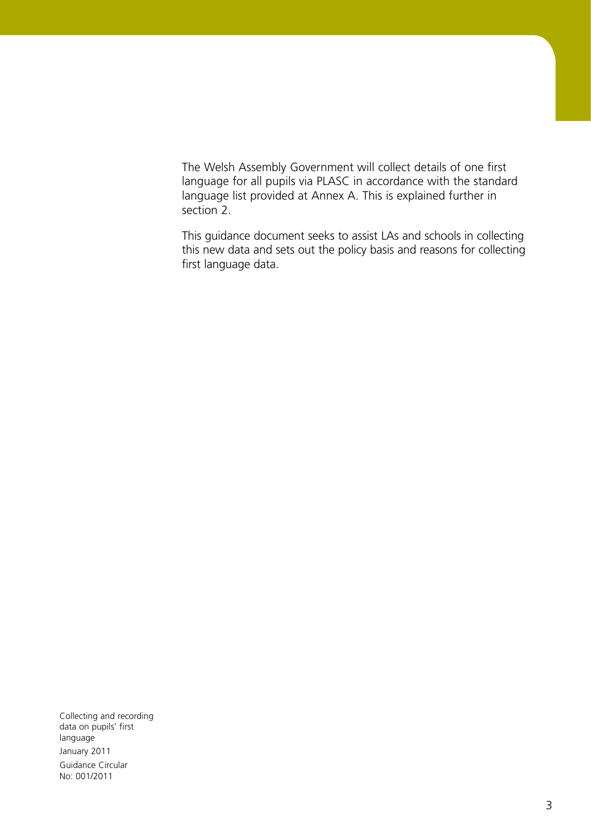The Welsh Assembly Government will collect details of one first language for all pupils via PLASC in accordance with the standard language list provided at Annex A. This is explained further in section 2.

This guidance document seeks to assist LAs and schools in collecting this new data and sets out the policy basis and reasons for collecting first language data.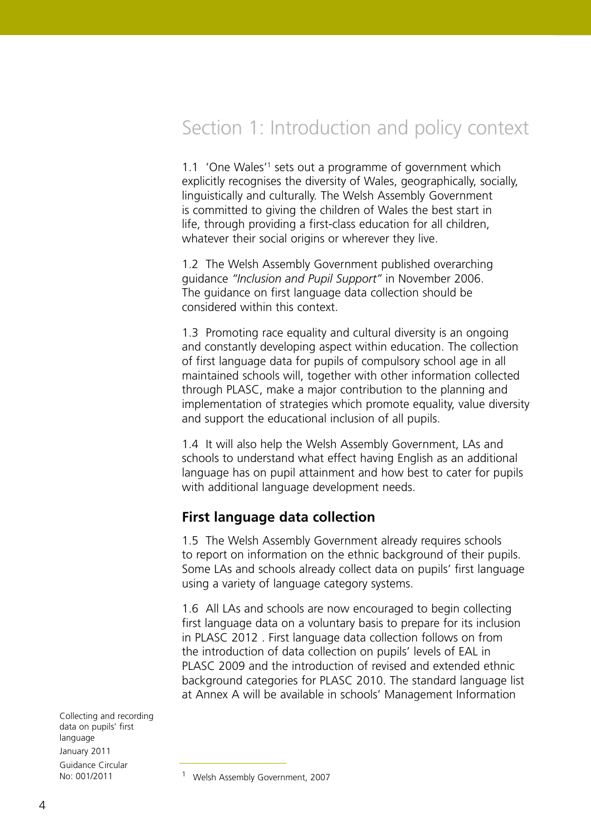# Section 1: Introduction and policy context

1.1 'One Wales'<sup>1</sup> sets out a programme of government which explicitly recognises the diversity of Wales, geographically, socially, linguistically and culturally. The Welsh Assembly Government is committed to giving the children of Wales the best start in life, through providing a first-class education for all children, whatever their social origins or wherever they live.

1.2 The Welsh Assembly Government published overarching guidance *"Inclusion and Pupil Support"* in November 2006. The guidance on first language data collection should be considered within this context.

1.3 Promoting race equality and cultural diversity is an ongoing and constantly developing aspect within education. The collection of first language data for pupils of compulsory school age in all maintained schools will, together with other information collected through PLASC, make a major contribution to the planning and implementation of strategies which promote equality, value diversity and support the educational inclusion of all pupils.

1.4 It will also help the Welsh Assembly Government, LAs and schools to understand what effect having English as an additional language has on pupil attainment and how best to cater for pupils with additional language development needs.

#### **First language data collection**

1.5 The Welsh Assembly Government already requires schools to report on information on the ethnic background of their pupils. Some LAs and schools already collect data on pupils' first language using a variety of language category systems.

1.6 All LAs and schools are now encouraged to begin collecting first language data on a voluntary basis to prepare for its inclusion in PLASC 2012 . First language data collection follows on from the introduction of data collection on pupils' levels of EAL in PLASC 2009 and the introduction of revised and extended ethnic background categories for PLASC 2010. The standard language list at Annex A will be available in schools' Management Information

<sup>&</sup>lt;sup>1</sup> Welsh Assembly Government, 2007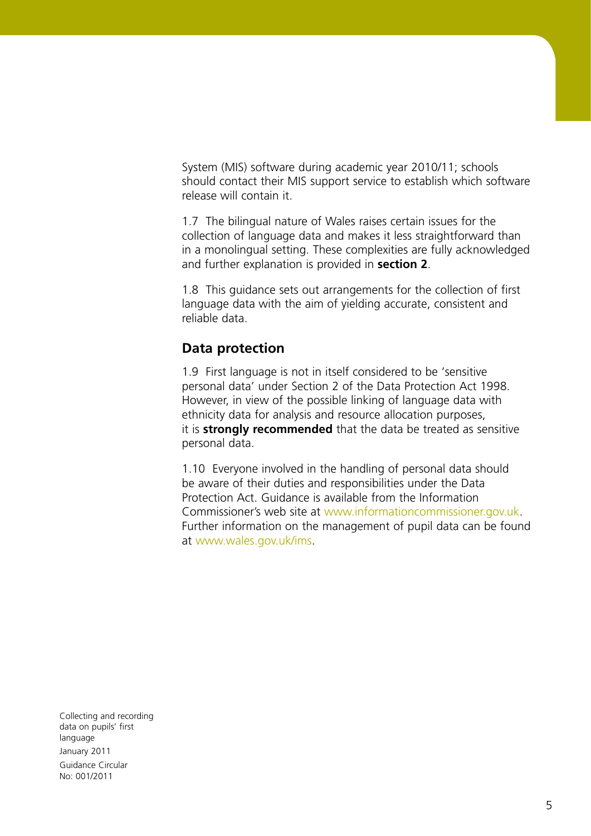System (MIS) software during academic year 2010/11; schools should contact their MIS support service to establish which software release will contain it.

1.7 The bilingual nature of Wales raises certain issues for the collection of language data and makes it less straightforward than in a monolingual setting. These complexities are fully acknowledged and further explanation is provided in **section 2**.

1.8 This guidance sets out arrangements for the collection of first language data with the aim of yielding accurate, consistent and reliable data.

#### **Data protection**

1.9 First language is not in itself considered to be 'sensitive personal data' under Section 2 of the Data Protection Act 1998. However, in view of the possible linking of language data with ethnicity data for analysis and resource allocation purposes, it is **strongly recommended** that the data be treated as sensitive personal data.

1.10 Everyone involved in the handling of personal data should be aware of their duties and responsibilities under the Data Protection Act. Guidance is available from the Information Commissioner's web site at www.informationcommissioner.gov.uk. Further information on the management of pupil data can be found at www.wales.gov.uk/ims.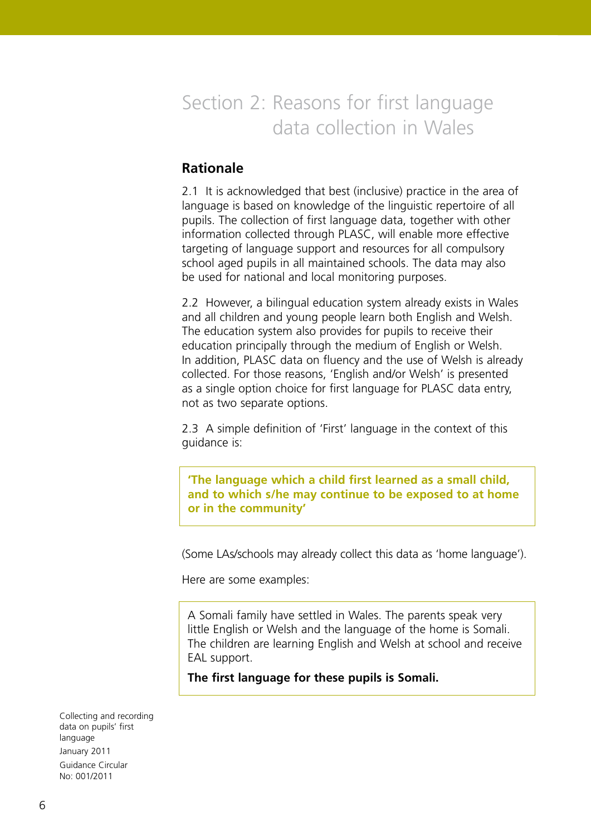# Section 2: Reasons for first language data collection in Wales

# **Rationale**

2.1 It is acknowledged that best (inclusive) practice in the area of language is based on knowledge of the linguistic repertoire of all pupils. The collection of first language data, together with other information collected through PLASC, will enable more effective targeting of language support and resources for all compulsory school aged pupils in all maintained schools. The data may also be used for national and local monitoring purposes.

2.2 However, a bilingual education system already exists in Wales and all children and young people learn both English and Welsh. The education system also provides for pupils to receive their education principally through the medium of English or Welsh. In addition, PLASC data on fluency and the use of Welsh is already collected. For those reasons, 'English and/or Welsh' is presented as a single option choice for first language for PLASC data entry, not as two separate options.

2.3 A simple definition of 'First' language in the context of this guidance is:

**'The language which a child first learned as a small child, and to which s/he may continue to be exposed to at home or in the community'**

(Some LAs/schools may already collect this data as 'home language').

Here are some examples:

A Somali family have settled in Wales. The parents speak very little English or Welsh and the language of the home is Somali. The children are learning English and Welsh at school and receive EAL support.

**The first language for these pupils is Somali.**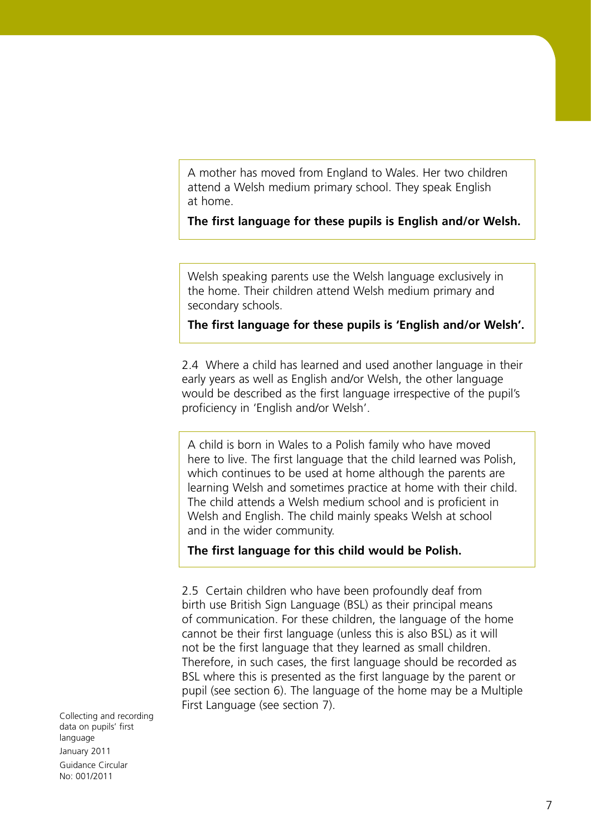A mother has moved from England to Wales. Her two children attend a Welsh medium primary school. They speak English at home.

**The first language for these pupils is English and/or Welsh.**

Welsh speaking parents use the Welsh language exclusively in the home. Their children attend Welsh medium primary and secondary schools.

#### **The first language for these pupils is 'English and/or Welsh'.**

2.4 Where a child has learned and used another language in their early years as well as English and/or Welsh, the other language would be described as the first language irrespective of the pupil's proficiency in 'English and/or Welsh'.

A child is born in Wales to a Polish family who have moved here to live. The first language that the child learned was Polish, which continues to be used at home although the parents are learning Welsh and sometimes practice at home with their child. The child attends a Welsh medium school and is proficient in Welsh and English. The child mainly speaks Welsh at school and in the wider community.

**The first language for this child would be Polish.**

2.5 Certain children who have been profoundly deaf from birth use British Sign Language (BSL) as their principal means of communication. For these children, the language of the home cannot be their first language (unless this is also BSL) as it will not be the first language that they learned as small children. Therefore, in such cases, the first language should be recorded as BSL where this is presented as the first language by the parent or pupil (see section 6). The language of the home may be a Multiple First Language (see section 7).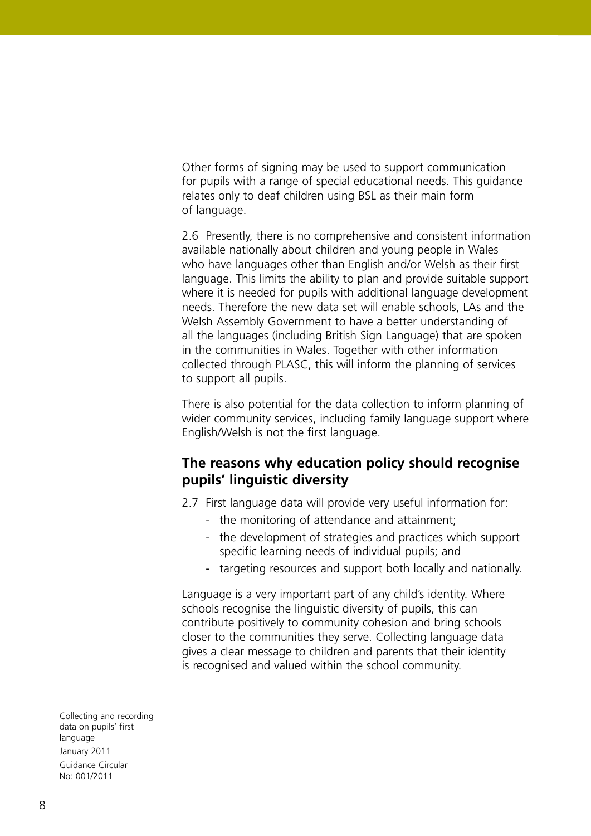Other forms of signing may be used to support communication for pupils with a range of special educational needs. This guidance relates only to deaf children using BSL as their main form of language.

2.6 Presently, there is no comprehensive and consistent information available nationally about children and young people in Wales who have languages other than English and/or Welsh as their first language. This limits the ability to plan and provide suitable support where it is needed for pupils with additional language development needs. Therefore the new data set will enable schools, LAs and the Welsh Assembly Government to have a better understanding of all the languages (including British Sign Language) that are spoken in the communities in Wales. Together with other information collected through PLASC, this will inform the planning of services to support all pupils.

There is also potential for the data collection to inform planning of wider community services, including family language support where English/Welsh is not the first language.

### **The reasons why education policy should recognise pupils' linguistic diversity**

2.7 First language data will provide very useful information for:

- the monitoring of attendance and attainment;
- the development of strategies and practices which support specific learning needs of individual pupils; and
- targeting resources and support both locally and nationally.

Language is a very important part of any child's identity. Where schools recognise the linguistic diversity of pupils, this can contribute positively to community cohesion and bring schools closer to the communities they serve. Collecting language data gives a clear message to children and parents that their identity is recognised and valued within the school community.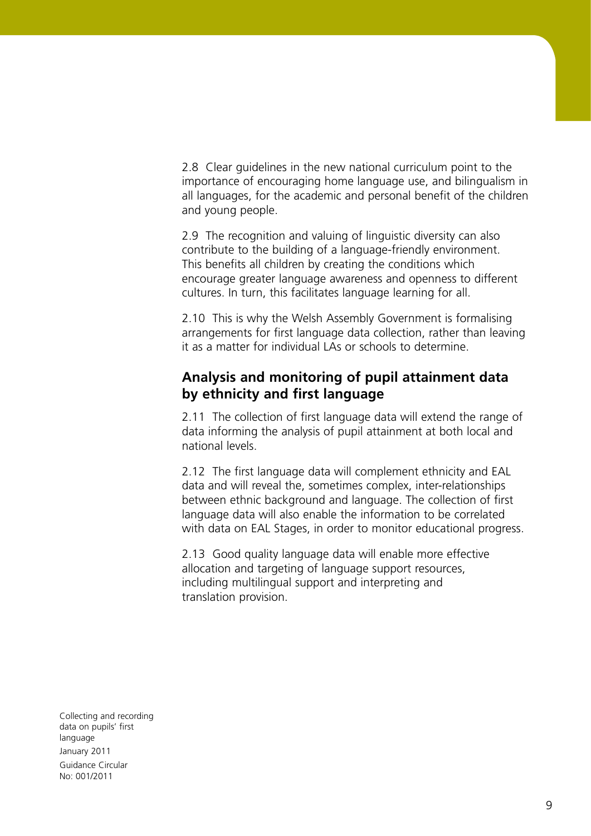2.8 Clear guidelines in the new national curriculum point to the importance of encouraging home language use, and bilingualism in all languages, for the academic and personal benefit of the children and young people.

2.9 The recognition and valuing of linguistic diversity can also contribute to the building of a language-friendly environment. This benefits all children by creating the conditions which encourage greater language awareness and openness to different cultures. In turn, this facilitates language learning for all.

2.10 This is why the Welsh Assembly Government is formalising arrangements for first language data collection, rather than leaving it as a matter for individual LAs or schools to determine.

### **Analysis and monitoring of pupil attainment data by ethnicity and first language**

2.11 The collection of first language data will extend the range of data informing the analysis of pupil attainment at both local and national levels.

2.12 The first language data will complement ethnicity and EAL data and will reveal the, sometimes complex, inter-relationships between ethnic background and language. The collection of first language data will also enable the information to be correlated with data on EAL Stages, in order to monitor educational progress.

2.13 Good quality language data will enable more effective allocation and targeting of language support resources, including multilingual support and interpreting and translation provision.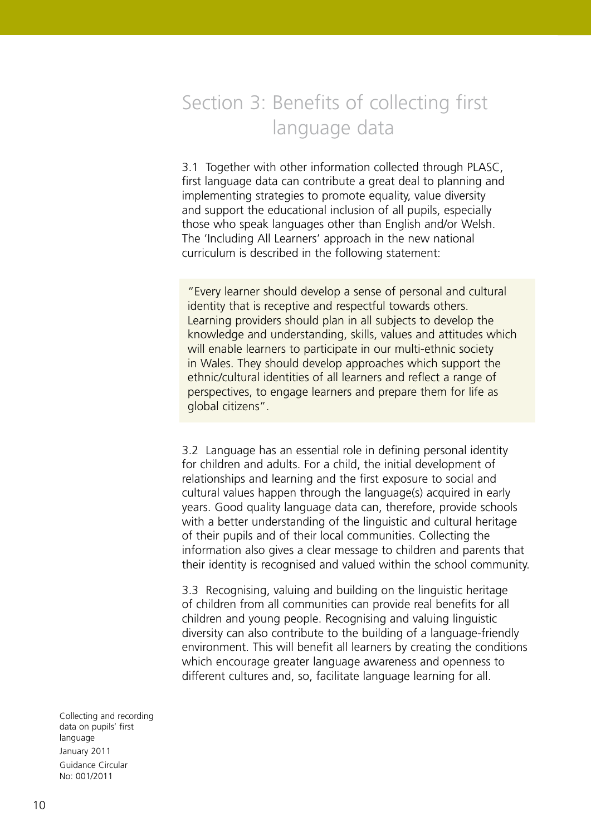# Section 3: Benefits of collecting first language data

3.1 Together with other information collected through PLASC, first language data can contribute a great deal to planning and implementing strategies to promote equality, value diversity and support the educational inclusion of all pupils, especially those who speak languages other than English and/or Welsh. The 'Including All Learners' approach in the new national curriculum is described in the following statement:

"Every learner should develop a sense of personal and cultural identity that is receptive and respectful towards others. Learning providers should plan in all subjects to develop the knowledge and understanding, skills, values and attitudes which will enable learners to participate in our multi-ethnic society in Wales. They should develop approaches which support the ethnic/cultural identities of all learners and reflect a range of perspectives, to engage learners and prepare them for life as global citizens".

3.2 Language has an essential role in defining personal identity for children and adults. For a child, the initial development of relationships and learning and the first exposure to social and cultural values happen through the language(s) acquired in early years. Good quality language data can, therefore, provide schools with a better understanding of the linguistic and cultural heritage of their pupils and of their local communities. Collecting the information also gives a clear message to children and parents that their identity is recognised and valued within the school community.

3.3 Recognising, valuing and building on the linguistic heritage of children from all communities can provide real benefits for all children and young people. Recognising and valuing linguistic diversity can also contribute to the building of a language-friendly environment. This will benefit all learners by creating the conditions which encourage greater language awareness and openness to different cultures and, so, facilitate language learning for all.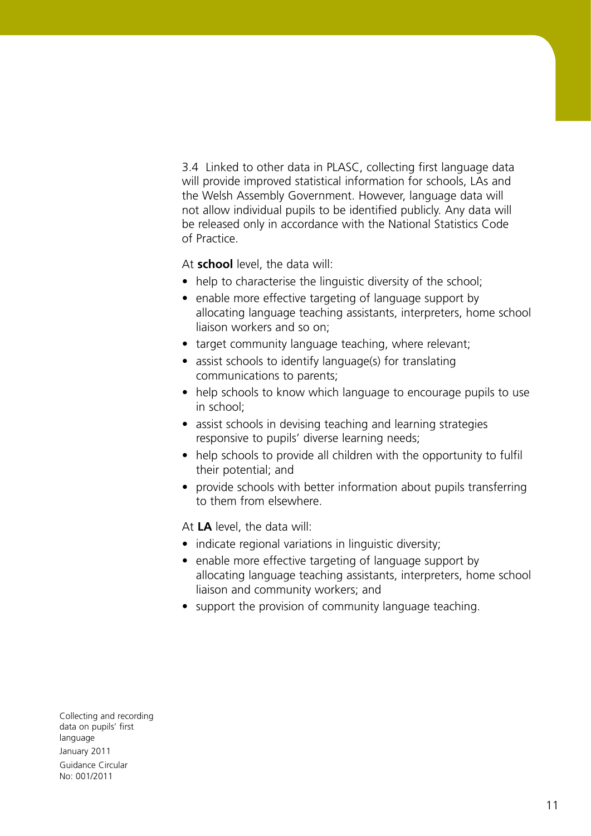3.4 Linked to other data in PLASC, collecting first language data will provide improved statistical information for schools, LAs and the Welsh Assembly Government. However, language data will not allow individual pupils to be identified publicly. Any data will be released only in accordance with the National Statistics Code of Practice.

At **school** level, the data will:

- help to characterise the linguistic diversity of the school:
- enable more effective targeting of language support by allocating language teaching assistants, interpreters, home school liaison workers and so on;
- target community language teaching, where relevant;
- assist schools to identify language(s) for translating communications to parents;
- help schools to know which language to encourage pupils to use in school;
- assist schools in devising teaching and learning strategies responsive to pupils' diverse learning needs;
- help schools to provide all children with the opportunity to fulfil their potential; and
- provide schools with better information about pupils transferring to them from elsewhere.

At **LA** level, the data will:

- indicate regional variations in linguistic diversity;
- enable more effective targeting of language support by allocating language teaching assistants, interpreters, home school liaison and community workers; and
- support the provision of community language teaching.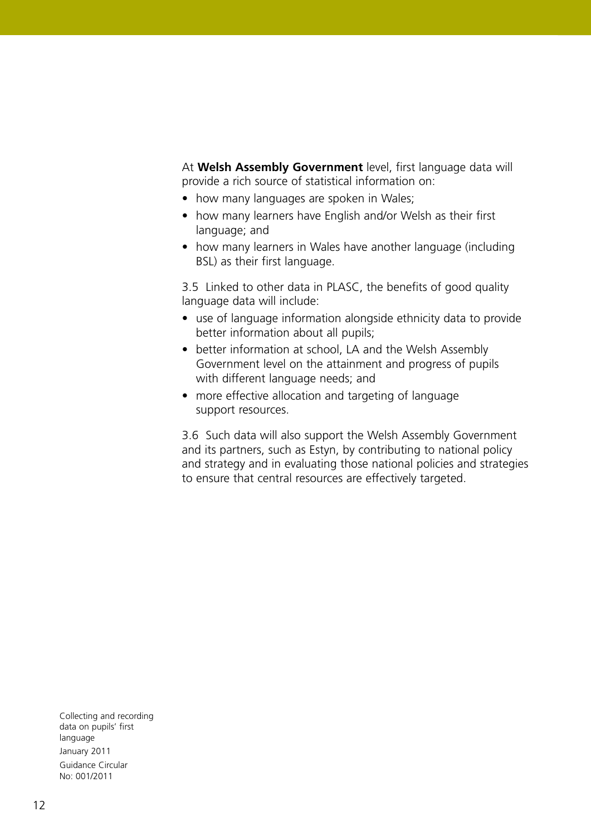At **Welsh Assembly Government** level, first language data will provide a rich source of statistical information on:

- how many languages are spoken in Wales;
- how many learners have English and/or Welsh as their first language; and
- how many learners in Wales have another language (including BSL) as their first language.

3.5 Linked to other data in PLASC, the benefits of good quality language data will include:

- use of language information alongside ethnicity data to provide better information about all pupils;
- better information at school, LA and the Welsh Assembly Government level on the attainment and progress of pupils with different language needs; and
- more effective allocation and targeting of language support resources.

3.6 Such data will also support the Welsh Assembly Government and its partners, such as Estyn, by contributing to national policy and strategy and in evaluating those national policies and strategies to ensure that central resources are effectively targeted.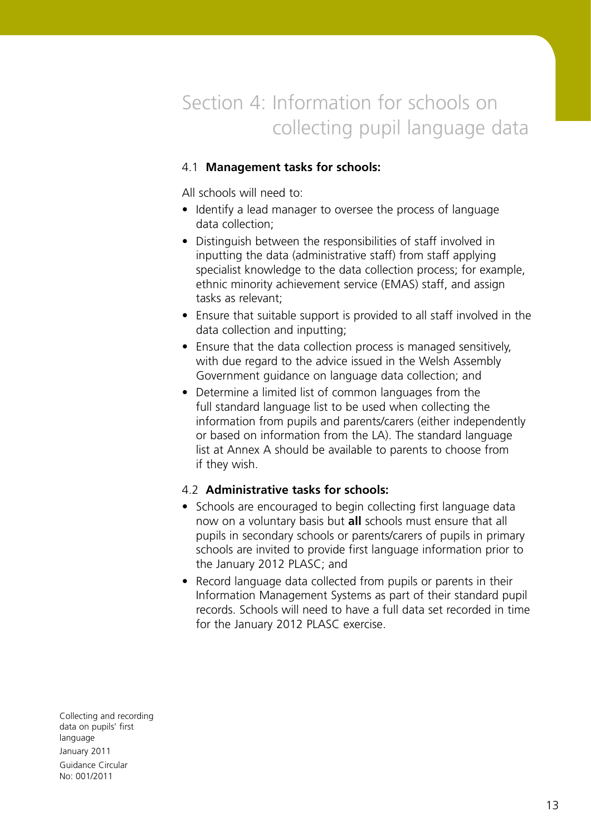# Section 4: Information for schools on collecting pupil language data

#### 4.1 **Management tasks for schools:**

All schools will need to:

- Identify a lead manager to oversee the process of language data collection;
- Distinguish between the responsibilities of staff involved in inputting the data (administrative staff) from staff applying specialist knowledge to the data collection process; for example, ethnic minority achievement service (EMAS) staff, and assign tasks as relevant;
- Ensure that suitable support is provided to all staff involved in the data collection and inputting;
- Ensure that the data collection process is managed sensitively, with due regard to the advice issued in the Welsh Assembly Government guidance on language data collection; and
- Determine a limited list of common languages from the full standard language list to be used when collecting the information from pupils and parents/carers (either independently or based on information from the LA). The standard language list at Annex A should be available to parents to choose from if they wish.

#### 4.2 **Administrative tasks for schools:**

- Schools are encouraged to begin collecting first language data now on a voluntary basis but **all** schools must ensure that all pupils in secondary schools or parents/carers of pupils in primary schools are invited to provide first language information prior to the January 2012 PLASC; and
- Record language data collected from pupils or parents in their Information Management Systems as part of their standard pupil records. Schools will need to have a full data set recorded in time for the January 2012 PLASC exercise.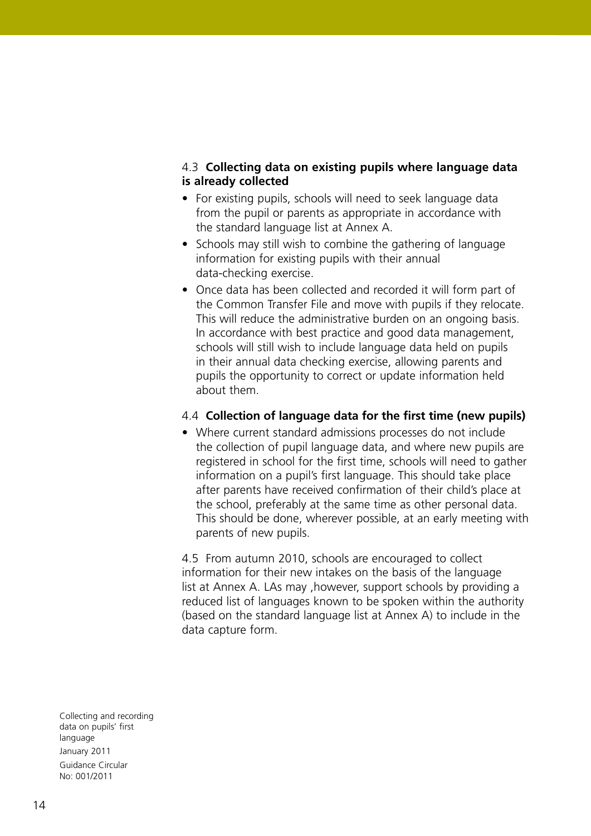#### 4.3 **Collecting data on existing pupils where language data is already collected**

- For existing pupils, schools will need to seek language data from the pupil or parents as appropriate in accordance with the standard language list at Annex A.
- Schools may still wish to combine the gathering of language information for existing pupils with their annual data-checking exercise.
- Once data has been collected and recorded it will form part of the Common Transfer File and move with pupils if they relocate. This will reduce the administrative burden on an ongoing basis. In accordance with best practice and good data management, schools will still wish to include language data held on pupils in their annual data checking exercise, allowing parents and pupils the opportunity to correct or update information held about them.

#### 4.4 **Collection of language data for the first time (new pupils)**

• Where current standard admissions processes do not include the collection of pupil language data, and where new pupils are registered in school for the first time, schools will need to gather information on a pupil's first language. This should take place after parents have received confirmation of their child's place at the school, preferably at the same time as other personal data. This should be done, wherever possible, at an early meeting with parents of new pupils.

4.5 From autumn 2010, schools are encouraged to collect information for their new intakes on the basis of the language list at Annex A. LAs may ,however, support schools by providing a reduced list of languages known to be spoken within the authority (based on the standard language list at Annex A) to include in the data capture form.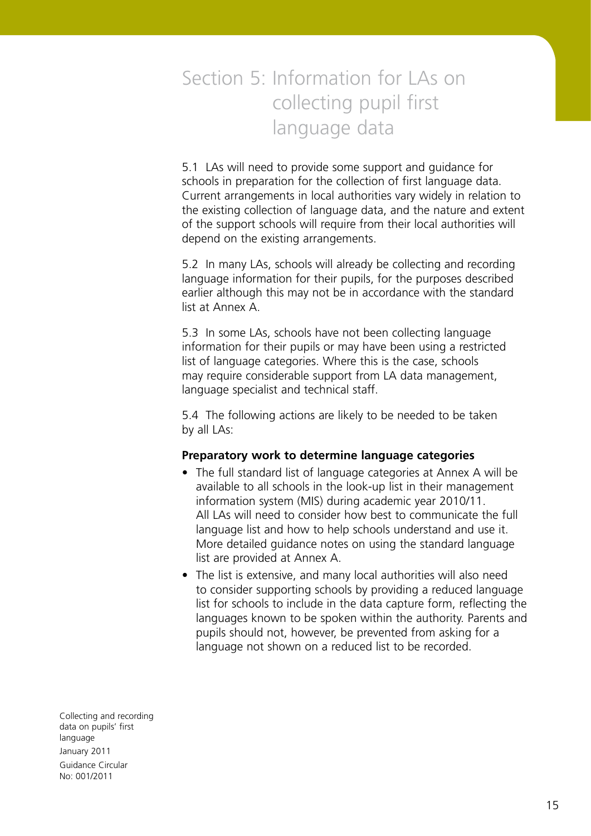# Section 5: Information for LAs on collecting pupil first language data

5.1 LAs will need to provide some support and guidance for schools in preparation for the collection of first language data. Current arrangements in local authorities vary widely in relation to the existing collection of language data, and the nature and extent of the support schools will require from their local authorities will depend on the existing arrangements.

5.2 In many LAs, schools will already be collecting and recording language information for their pupils, for the purposes described earlier although this may not be in accordance with the standard list at Annex A.

5.3 In some LAs, schools have not been collecting language information for their pupils or may have been using a restricted list of language categories. Where this is the case, schools may require considerable support from LA data management, language specialist and technical staff.

5.4 The following actions are likely to be needed to be taken by all LAs:

#### **Preparatory work to determine language categories**

- The full standard list of language categories at Annex A will be available to all schools in the look-up list in their management information system (MIS) during academic year 2010/11. All LAs will need to consider how best to communicate the full language list and how to help schools understand and use it. More detailed guidance notes on using the standard language list are provided at Annex A.
- The list is extensive, and many local authorities will also need to consider supporting schools by providing a reduced language list for schools to include in the data capture form, reflecting the languages known to be spoken within the authority. Parents and pupils should not, however, be prevented from asking for a language not shown on a reduced list to be recorded.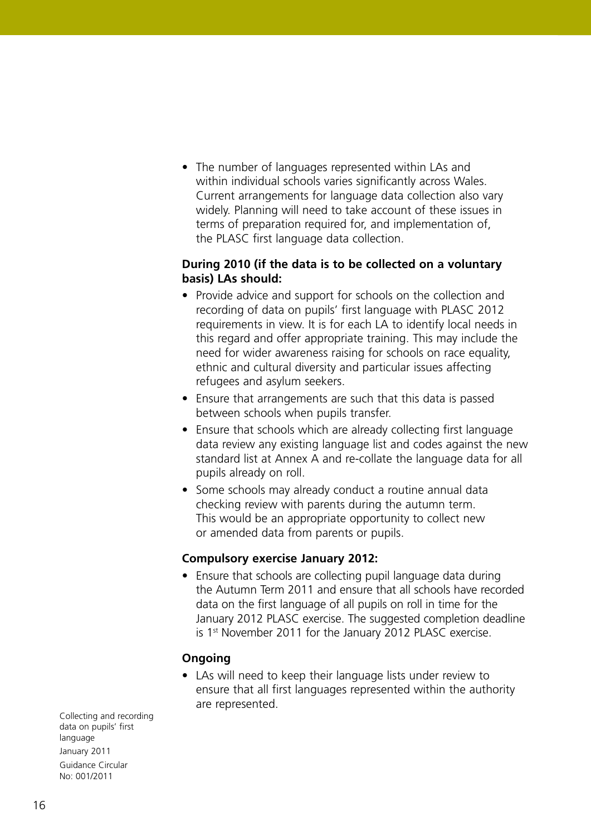• The number of languages represented within LAs and within individual schools varies significantly across Wales. Current arrangements for language data collection also vary widely. Planning will need to take account of these issues in terms of preparation required for, and implementation of, the PLASC first language data collection.

#### **During 2010 (if the data is to be collected on a voluntary basis) LAs should:**

- Provide advice and support for schools on the collection and recording of data on pupils' first language with PLASC 2012 requirements in view. It is for each LA to identify local needs in this regard and offer appropriate training. This may include the need for wider awareness raising for schools on race equality, ethnic and cultural diversity and particular issues affecting refugees and asylum seekers.
- Ensure that arrangements are such that this data is passed between schools when pupils transfer.
- Ensure that schools which are already collecting first language data review any existing language list and codes against the new standard list at Annex A and re-collate the language data for all pupils already on roll.
- Some schools may already conduct a routine annual data checking review with parents during the autumn term. This would be an appropriate opportunity to collect new or amended data from parents or pupils.

#### **Compulsory exercise January 2012:**

• Ensure that schools are collecting pupil language data during the Autumn Term 2011 and ensure that all schools have recorded data on the first language of all pupils on roll in time for the January 2012 PLASC exercise. The suggested completion deadline is 1<sup>st</sup> November 2011 for the January 2012 PLASC exercise.

#### **Ongoing**

• LAs will need to keep their language lists under review to ensure that all first languages represented within the authority are represented.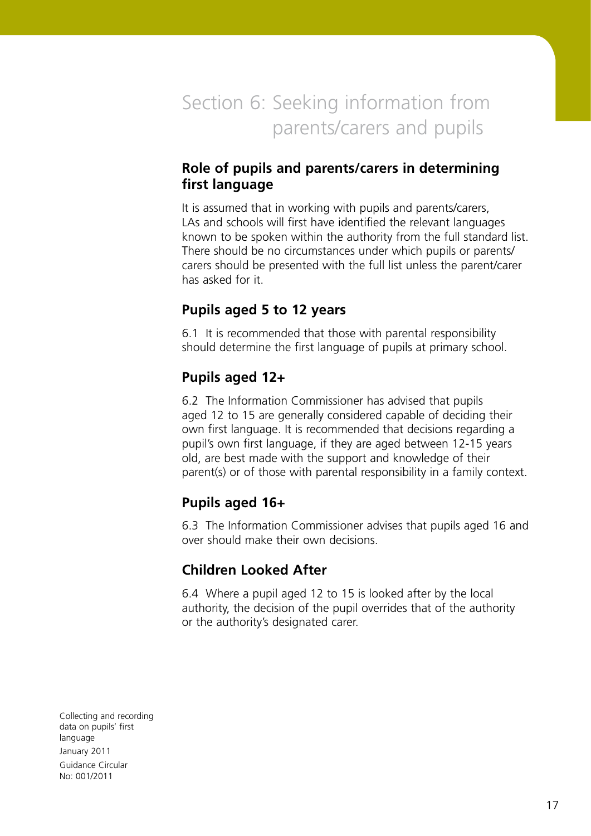Section 6: Seeking information from parents/carers and pupils

## **Role of pupils and parents/carers in determining first language**

It is assumed that in working with pupils and parents/carers, LAs and schools will first have identified the relevant languages known to be spoken within the authority from the full standard list. There should be no circumstances under which pupils or parents/ carers should be presented with the full list unless the parent/carer has asked for it.

## **Pupils aged 5 to 12 years**

6.1 It is recommended that those with parental responsibility should determine the first language of pupils at primary school.

# **Pupils aged 12+**

6.2 The Information Commissioner has advised that pupils aged 12 to 15 are generally considered capable of deciding their own first language. It is recommended that decisions regarding a pupil's own first language, if they are aged between 12-15 years old, are best made with the support and knowledge of their parent(s) or of those with parental responsibility in a family context.

## **Pupils aged 16+**

6.3 The Information Commissioner advises that pupils aged 16 and over should make their own decisions.

# **Children Looked After**

6.4 Where a pupil aged 12 to 15 is looked after by the local authority, the decision of the pupil overrides that of the authority or the authority's designated carer.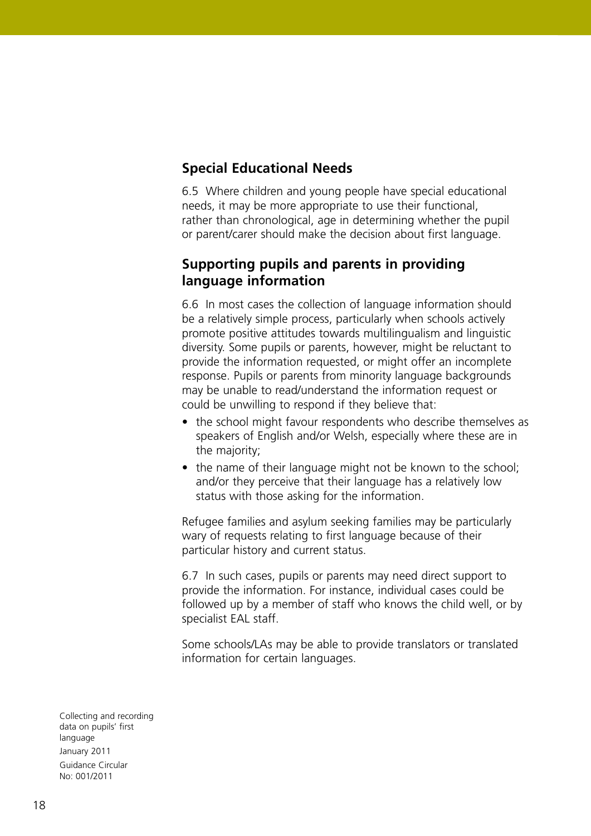# **Special Educational Needs**

6.5 Where children and young people have special educational needs, it may be more appropriate to use their functional, rather than chronological, age in determining whether the pupil or parent/carer should make the decision about first language.

### **Supporting pupils and parents in providing language information**

6.6 In most cases the collection of language information should be a relatively simple process, particularly when schools actively promote positive attitudes towards multilingualism and linguistic diversity. Some pupils or parents, however, might be reluctant to provide the information requested, or might offer an incomplete response. Pupils or parents from minority language backgrounds may be unable to read/understand the information request or could be unwilling to respond if they believe that:

- the school might favour respondents who describe themselves as speakers of English and/or Welsh, especially where these are in the majority;
- the name of their language might not be known to the school: and/or they perceive that their language has a relatively low status with those asking for the information.

Refugee families and asylum seeking families may be particularly wary of requests relating to first language because of their particular history and current status.

6.7 In such cases, pupils or parents may need direct support to provide the information. For instance, individual cases could be followed up by a member of staff who knows the child well, or by specialist EAL staff.

Some schools/LAs may be able to provide translators or translated information for certain languages.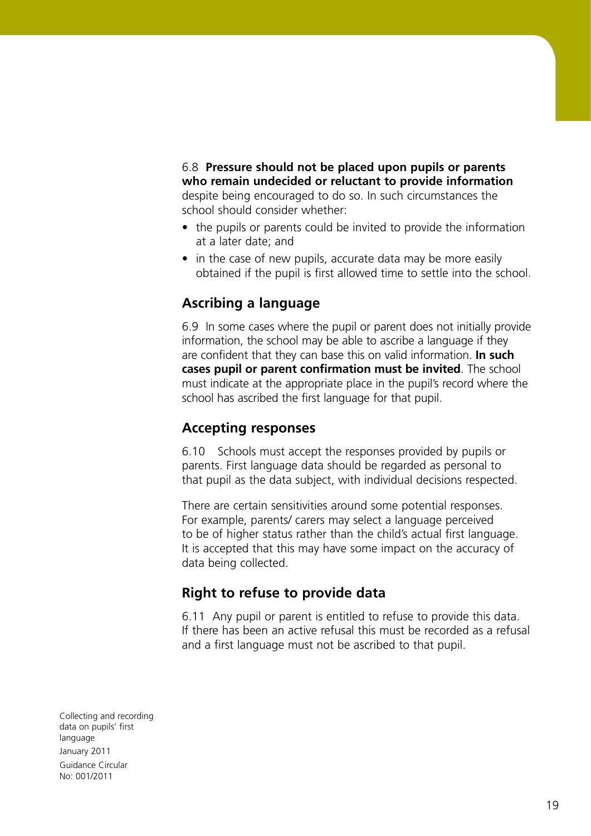6.8 **Pressure should not be placed upon pupils or parents who remain undecided or reluctant to provide information** despite being encouraged to do so. In such circumstances the school should consider whether:

- the pupils or parents could be invited to provide the information at a later date; and
- in the case of new pupils, accurate data may be more easily obtained if the pupil is first allowed time to settle into the school.

# **Ascribing a language**

6.9 In some cases where the pupil or parent does not initially provide information, the school may be able to ascribe a language if they are confident that they can base this on valid information. **In such cases pupil or parent confirmation must be invited**. The school must indicate at the appropriate place in the pupil's record where the school has ascribed the first language for that pupil.

#### **Accepting responses**

6.10 Schools must accept the responses provided by pupils or parents. First language data should be regarded as personal to that pupil as the data subject, with individual decisions respected.

There are certain sensitivities around some potential responses. For example, parents/ carers may select a language perceived to be of higher status rather than the child's actual first language. It is accepted that this may have some impact on the accuracy of data being collected.

## **Right to refuse to provide data**

6.11 Any pupil or parent is entitled to refuse to provide this data. If there has been an active refusal this must be recorded as a refusal and a first language must not be ascribed to that pupil.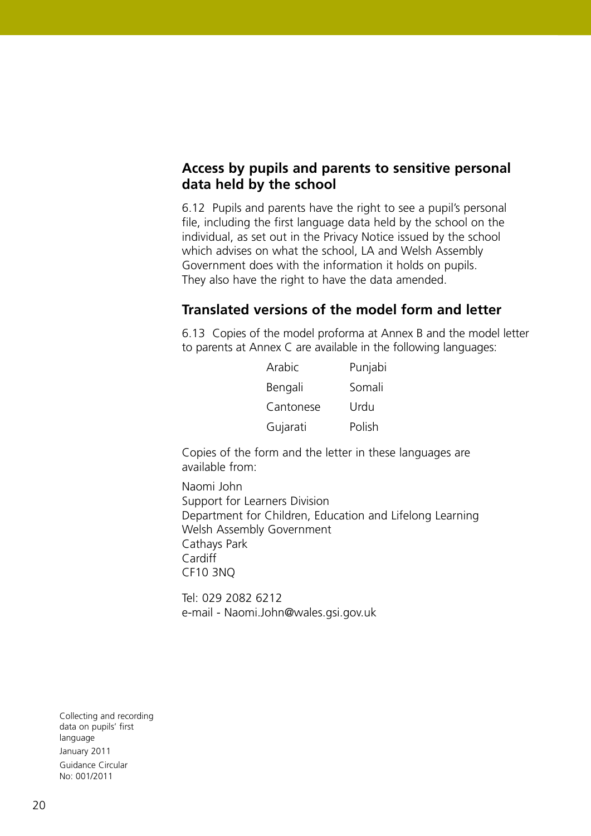### **Access by pupils and parents to sensitive personal data held by the school**

6.12 Pupils and parents have the right to see a pupil's personal file, including the first language data held by the school on the individual, as set out in the Privacy Notice issued by the school which advises on what the school, LA and Welsh Assembly Government does with the information it holds on pupils. They also have the right to have the data amended.

## **Translated versions of the model form and letter**

6.13 Copies of the model proforma at Annex B and the model letter to parents at Annex C are available in the following languages:

| Arabic    | Punjabi |
|-----------|---------|
| Bengali   | Somali  |
| Cantonese | Urdu    |
| Gujarati  | Polish  |

Copies of the form and the letter in these languages are available from:

Naomi John Support for Learners Division Department for Children, Education and Lifelong Learning Welsh Assembly Government Cathays Park **Cardiff** CF10 3NQ

Tel: 029 2082 6212 e-mail - Naomi.John@wales.gsi.gov.uk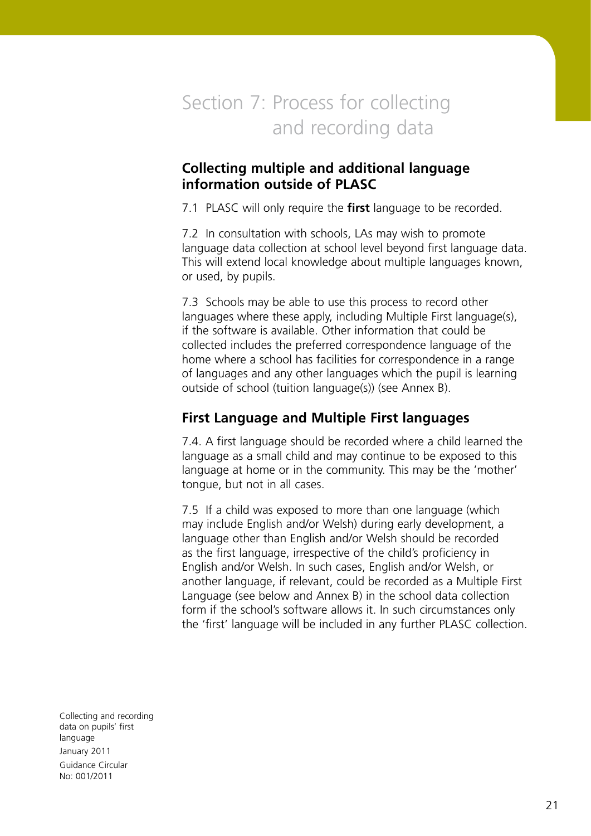# Section 7: Process for collecting and recording data

## **Collecting multiple and additional language information outside of PLASC**

7.1 PLASC will only require the **first** language to be recorded.

7.2 In consultation with schools, LAs may wish to promote language data collection at school level beyond first language data. This will extend local knowledge about multiple languages known, or used, by pupils.

7.3 Schools may be able to use this process to record other languages where these apply, including Multiple First language(s), if the software is available. Other information that could be collected includes the preferred correspondence language of the home where a school has facilities for correspondence in a range of languages and any other languages which the pupil is learning outside of school (tuition language(s)) (see Annex B).

## **First Language and Multiple First languages**

7.4. A first language should be recorded where a child learned the language as a small child and may continue to be exposed to this language at home or in the community. This may be the 'mother' tongue, but not in all cases.

7.5 If a child was exposed to more than one language (which may include English and/or Welsh) during early development, a language other than English and/or Welsh should be recorded as the first language, irrespective of the child's proficiency in English and/or Welsh. In such cases, English and/or Welsh, or another language, if relevant, could be recorded as a Multiple First Language (see below and Annex B) in the school data collection form if the school's software allows it. In such circumstances only the 'first' language will be included in any further PLASC collection.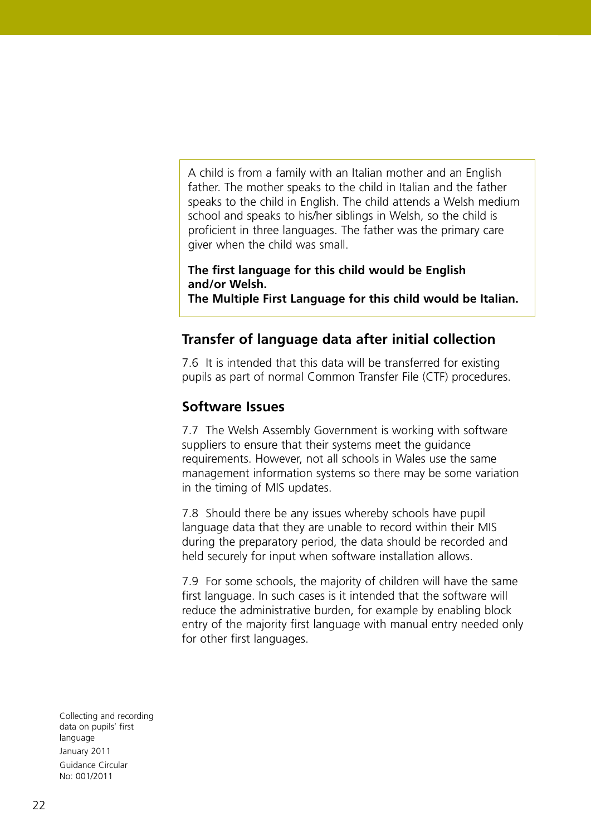A child is from a family with an Italian mother and an English father. The mother speaks to the child in Italian and the father speaks to the child in English. The child attends a Welsh medium school and speaks to his/her siblings in Welsh, so the child is proficient in three languages. The father was the primary care giver when the child was small.

#### **The first language for this child would be English and/or Welsh.**

**The Multiple First Language for this child would be Italian.**

# **Transfer of language data after initial collection**

7.6 It is intended that this data will be transferred for existing pupils as part of normal Common Transfer File (CTF) procedures.

## **Software Issues**

7.7 The Welsh Assembly Government is working with software suppliers to ensure that their systems meet the guidance requirements. However, not all schools in Wales use the same management information systems so there may be some variation in the timing of MIS updates.

7.8 Should there be any issues whereby schools have pupil language data that they are unable to record within their MIS during the preparatory period, the data should be recorded and held securely for input when software installation allows.

7.9 For some schools, the majority of children will have the same first language. In such cases is it intended that the software will reduce the administrative burden, for example by enabling block entry of the majority first language with manual entry needed only for other first languages.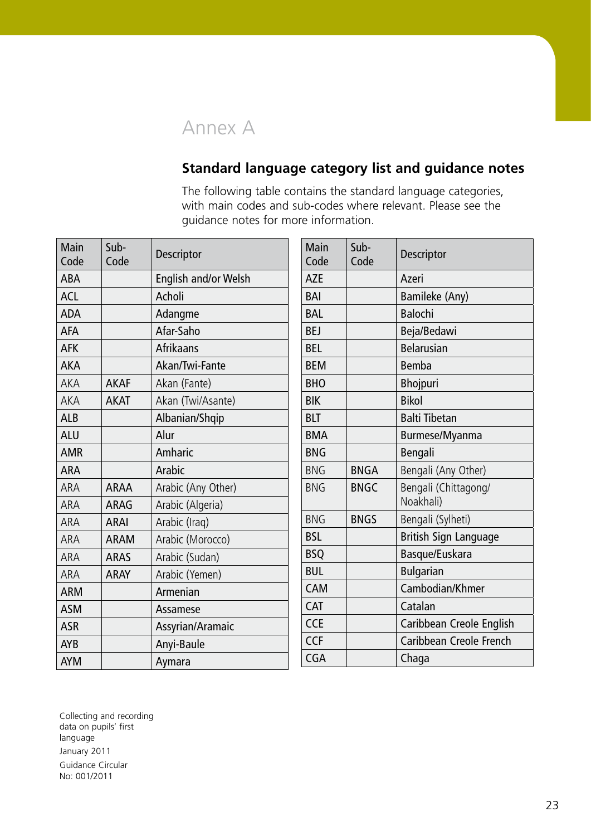# Annex A

# **Standard language category list and guidance notes**

The following table contains the standard language categories, with main codes and sub-codes where relevant. Please see the guidance notes for more information.

| Main<br>Code | Sub-<br>Code | <b>Descriptor</b>    |
|--------------|--------------|----------------------|
| <b>ABA</b>   |              | English and/or Welsh |
| <b>ACL</b>   |              | Acholi               |
| <b>ADA</b>   |              | Adangme              |
| AFA          |              | Afar-Saho            |
| <b>AFK</b>   |              | Afrikaans            |
| <b>AKA</b>   |              | Akan/Twi-Fante       |
| AKA          | <b>AKAF</b>  | Akan (Fante)         |
| AKA          | <b>AKAT</b>  | Akan (Twi/Asante)    |
| <b>ALB</b>   |              | Albanian/Shqip       |
| <b>ALU</b>   |              | Alur                 |
| <b>AMR</b>   |              | Amharic              |
| ARA          |              | Arabic               |
| ARA          | <b>ARAA</b>  | Arabic (Any Other)   |
| ARA          | <b>ARAG</b>  | Arabic (Algeria)     |
| ARA          | <b>ARAI</b>  | Arabic (Iraq)        |
| ARA          | <b>ARAM</b>  | Arabic (Morocco)     |
| ARA          | <b>ARAS</b>  | Arabic (Sudan)       |
| ARA          | <b>ARAY</b>  | Arabic (Yemen)       |
| <b>ARM</b>   |              | Armenian             |
| <b>ASM</b>   |              | Assamese             |
| <b>ASR</b>   |              | Assyrian/Aramaic     |
| <b>AYB</b>   |              | Anyi-Baule           |
| <b>AYM</b>   |              | Aymara               |

| Main       | Sub-        | Descriptor                   |
|------------|-------------|------------------------------|
| Code       | Code        |                              |
| <b>AZE</b> |             | Azeri                        |
| BAI        |             | Bamileke (Any)               |
| <b>BAL</b> |             | <b>Balochi</b>               |
| <b>BEJ</b> |             | Beja/Bedawi                  |
| <b>BEL</b> |             | <b>Belarusian</b>            |
| <b>BEM</b> |             | <b>Bemba</b>                 |
| <b>BHO</b> |             | Bhojpuri                     |
| <b>BIK</b> |             | <b>Bikol</b>                 |
| <b>BLT</b> |             | <b>Balti Tibetan</b>         |
| <b>BMA</b> |             | Burmese/Myanma               |
| <b>BNG</b> |             | Bengali                      |
| <b>BNG</b> | <b>BNGA</b> | Bengali (Any Other)          |
| <b>BNG</b> | <b>BNGC</b> | Bengali (Chittagong/         |
|            |             | Noakhali)                    |
| <b>BNG</b> | <b>BNGS</b> | Bengali (Sylheti)            |
| <b>BSL</b> |             | <b>British Sign Language</b> |
| <b>BSQ</b> |             | Basque/Euskara               |
| <b>BUL</b> |             | <b>Bulgarian</b>             |
| <b>CAM</b> |             | Cambodian/Khmer              |
| CAT        |             | Catalan                      |
| <b>CCE</b> |             | Caribbean Creole English     |
| <b>CCF</b> |             | Caribbean Creole French      |
| <b>CGA</b> |             | Chaga                        |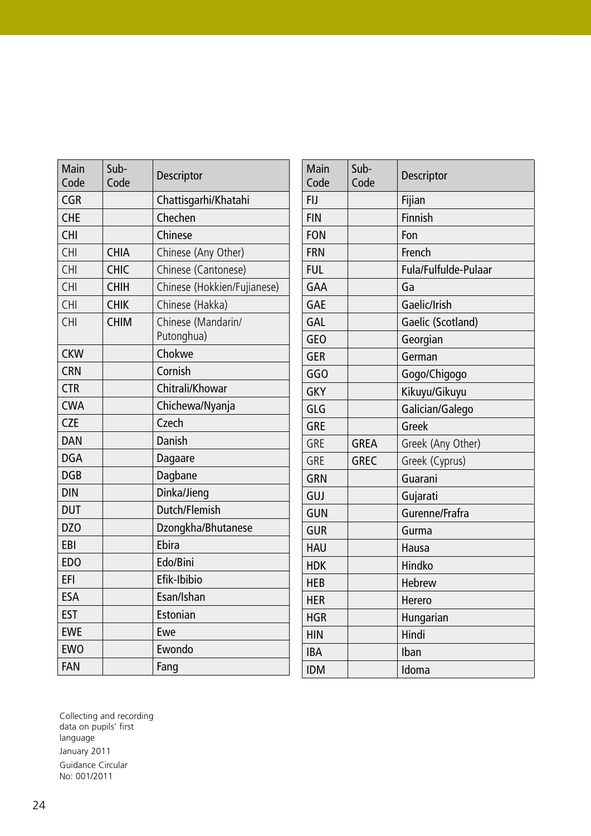| Main<br>Code    | Sub-<br>Code | Descriptor                       |
|-----------------|--------------|----------------------------------|
| <b>CGR</b>      |              | Chattisgarhi/Khatahi             |
| <b>CHE</b>      |              | Chechen                          |
| <b>CHI</b>      |              | Chinese                          |
| CHI             | <b>CHIA</b>  | Chinese (Any Other)              |
| CHI             | <b>CHIC</b>  | Chinese (Cantonese)              |
| CHI             | <b>CHIH</b>  | Chinese (Hokkien/Fujianese)      |
| <b>CHI</b>      | <b>CHIK</b>  | Chinese (Hakka)                  |
| <b>CHI</b>      | <b>CHIM</b>  | Chinese (Mandarin/<br>Putonghua) |
| <b>CKW</b>      |              | Chokwe                           |
| <b>CRN</b>      |              | Cornish                          |
| <b>CTR</b>      |              | Chitrali/Khowar                  |
| <b>CWA</b>      |              | Chichewa/Nyanja                  |
| <b>CZE</b>      |              | Czech                            |
| DAN             |              | Danish                           |
| <b>DGA</b>      |              | Dagaare                          |
| <b>DGB</b>      |              | Dagbane                          |
| <b>DIN</b>      |              | Dinka/Jieng                      |
| <b>DUT</b>      |              | Dutch/Flemish                    |
| DZ <sub>0</sub> |              | Dzongkha/Bhutanese               |
| EBI             |              | Ebira                            |
| ED <sub>O</sub> |              | Edo/Bini                         |
| EFI             |              | Efik-Ibibio                      |
| <b>ESA</b>      |              | Esan/Ishan                       |
| <b>EST</b>      |              | Estonian                         |
| <b>EWE</b>      |              | Ewe                              |
| <b>EWO</b>      |              | Ewondo                           |
| FAN             |              | Fang                             |

| Main<br>Code | Sub-<br>Code | Descriptor           |
|--------------|--------------|----------------------|
| <b>FIJ</b>   |              | Fijian               |
| <b>FIN</b>   |              | <b>Finnish</b>       |
| <b>FON</b>   |              | Fon                  |
| <b>FRN</b>   |              | French               |
| <b>FUL</b>   |              | Fula/Fulfulde-Pulaar |
| GAA          |              | Ga                   |
| <b>GAE</b>   |              | Gaelic/Irish         |
| <b>GAL</b>   |              | Gaelic (Scotland)    |
| <b>GEO</b>   |              | Georgian             |
| <b>GER</b>   |              | German               |
| GGO          |              | Gogo/Chigogo         |
| <b>GKY</b>   |              | Kikuyu/Gikuyu        |
| GLG          |              | Galician/Galego      |
| <b>GRE</b>   |              | Greek                |
| <b>GRE</b>   | <b>GREA</b>  | Greek (Any Other)    |
| <b>GRE</b>   | <b>GREC</b>  | Greek (Cyprus)       |
| <b>GRN</b>   |              | Guarani              |
| GUJ          |              | Gujarati             |
| <b>GUN</b>   |              | Gurenne/Frafra       |
| <b>GUR</b>   |              | Gurma                |
| <b>HAU</b>   |              | Hausa                |
| <b>HDK</b>   |              | Hindko               |
| <b>HEB</b>   |              | Hebrew               |
| <b>HER</b>   |              | Herero               |
| <b>HGR</b>   |              | Hungarian            |
| <b>HIN</b>   |              | Hindi                |
| <b>IBA</b>   |              | Iban                 |
| <b>IDM</b>   |              | Idoma                |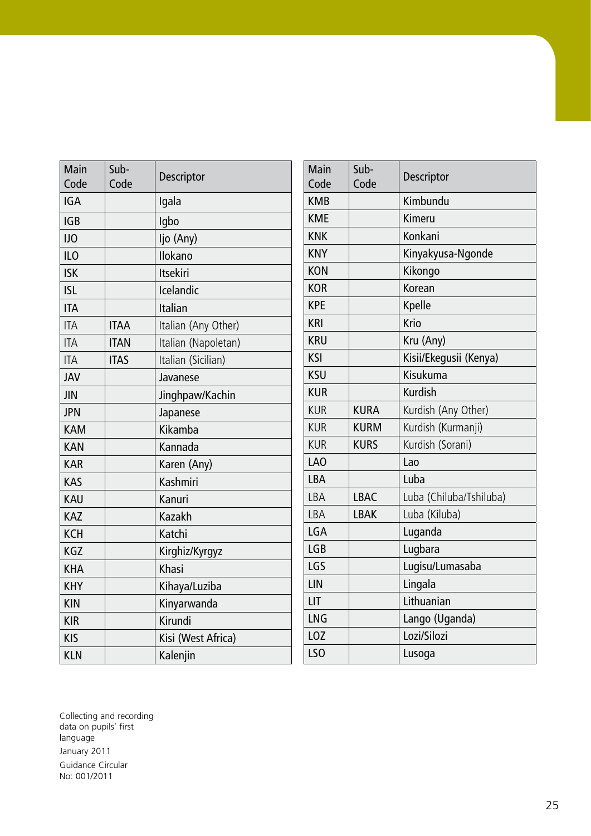| Main<br>Code | Sub-<br>Code | Descriptor          |
|--------------|--------------|---------------------|
| <b>IGA</b>   |              | Igala               |
| <b>IGB</b>   |              | Igbo                |
| <b>IJO</b>   |              | ljo (Any)           |
| <b>ILO</b>   |              | Ilokano             |
| <b>ISK</b>   |              | <b>Itsekiri</b>     |
| <b>ISL</b>   |              | Icelandic           |
| <b>ITA</b>   |              | Italian             |
| <b>ITA</b>   | <b>ITAA</b>  | Italian (Any Other) |
| <b>ITA</b>   | <b>ITAN</b>  | Italian (Napoletan) |
| <b>ITA</b>   | <b>ITAS</b>  | Italian (Sicilian)  |
| <b>JAV</b>   |              | Javanese            |
| <b>JIN</b>   |              | Jinghpaw/Kachin     |
| <b>JPN</b>   |              | Japanese            |
| <b>KAM</b>   |              | Kikamba             |
| <b>KAN</b>   |              | Kannada             |
| <b>KAR</b>   |              | Karen (Any)         |
| <b>KAS</b>   |              | Kashmiri            |
| <b>KAU</b>   |              | Kanuri              |
| <b>KAZ</b>   |              | Kazakh              |
| <b>KCH</b>   |              | Katchi              |
| <b>KGZ</b>   |              | Kirghiz/Kyrgyz      |
| <b>KHA</b>   |              | Khasi               |
| <b>KHY</b>   |              | Kihaya/Luziba       |
| <b>KIN</b>   |              | Kinyarwanda         |
| <b>KIR</b>   |              | Kirundi             |
| <b>KIS</b>   |              | Kisi (West Africa)  |
| <b>KLN</b>   |              | Kalenjin            |

| Main<br>Code    | Sub-<br>Code | Descriptor              |
|-----------------|--------------|-------------------------|
| <b>KMB</b>      |              | Kimbundu                |
| <b>KME</b>      |              | Kimeru                  |
| <b>KNK</b>      |              | Konkani                 |
| <b>KNY</b>      |              | Kinyakyusa-Ngonde       |
| <b>KON</b>      |              | Kikongo                 |
| <b>KOR</b>      |              | Korean                  |
| <b>KPE</b>      |              | Kpelle                  |
| <b>KRI</b>      |              | Krio                    |
| <b>KRU</b>      |              | Kru (Any)               |
| KSI             |              | Kisii/Ekegusii (Kenya)  |
| <b>KSU</b>      |              | Kisukuma                |
| <b>KUR</b>      |              | <b>Kurdish</b>          |
| <b>KUR</b>      | <b>KURA</b>  | Kurdish (Any Other)     |
| <b>KUR</b>      | <b>KURM</b>  | Kurdish (Kurmanji)      |
| <b>KUR</b>      | <b>KURS</b>  | Kurdish (Sorani)        |
| LA <sub>0</sub> |              | Lao                     |
| <b>LBA</b>      |              | Luba                    |
| LBA             | <b>LBAC</b>  | Luba (Chiluba/Tshiluba) |
| LBA             | <b>LBAK</b>  | Luba (Kiluba)           |
| LGA             |              | Luganda                 |
| <b>LGB</b>      |              | Lugbara                 |
| LGS             |              | Lugisu/Lumasaba         |
| LIN             |              | Lingala                 |
| LIT             |              | Lithuanian              |
| <b>LNG</b>      |              | Lango (Uganda)          |
| LOZ             |              | Lozi/Silozi             |
| LSO             |              | Lusoga                  |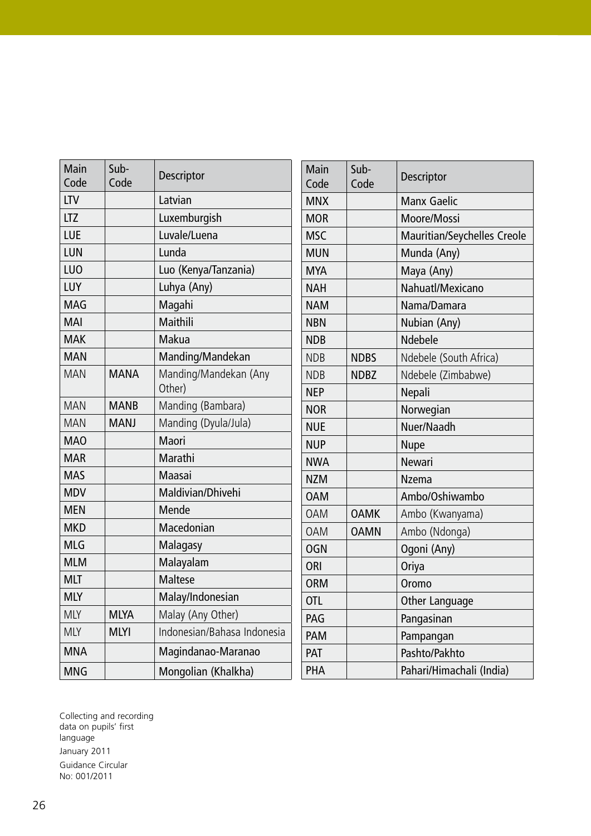| Main<br>Code    | Sub-<br>Code | Descriptor                      |
|-----------------|--------------|---------------------------------|
| <b>LTV</b>      |              | Latvian                         |
| <b>LTZ</b>      |              | Luxemburgish                    |
| LUE             |              | Luvale/Luena                    |
| LUN             |              | Lunda                           |
| LU <sub>0</sub> |              | Luo (Kenya/Tanzania)            |
| LUY             |              | Luhya (Any)                     |
| <b>MAG</b>      |              | Magahi                          |
| <b>MAI</b>      |              | Maithili                        |
| <b>MAK</b>      |              | Makua                           |
| <b>MAN</b>      |              | Manding/Mandekan                |
| <b>MAN</b>      | <b>MANA</b>  | Manding/Mandekan (Any<br>Other) |
| <b>MAN</b>      | <b>MANB</b>  | Manding (Bambara)               |
| <b>MAN</b>      | <b>MANJ</b>  | Manding (Dyula/Jula)            |
| <b>MAO</b>      |              | Maori                           |
| <b>MAR</b>      |              | Marathi                         |
| <b>MAS</b>      |              | Maasai                          |
| <b>MDV</b>      |              | Maldivian/Dhivehi               |
| <b>MEN</b>      |              | Mende                           |
| <b>MKD</b>      |              | Macedonian                      |
| <b>MLG</b>      |              | Malagasy                        |
| <b>MLM</b>      |              | Malayalam                       |
| <b>MLT</b>      |              | <b>Maltese</b>                  |
| <b>MLY</b>      |              | Malay/Indonesian                |
| <b>MLY</b>      | <b>MLYA</b>  | Malay (Any Other)               |
| <b>MLY</b>      | <b>MLYI</b>  | Indonesian/Bahasa Indonesia     |
| <b>MNA</b>      |              | Magindanao-Maranao              |
| <b>MNG</b>      |              | Mongolian (Khalkha)             |

| Main<br>Code | Sub-<br>Code | <b>Descriptor</b>                  |
|--------------|--------------|------------------------------------|
| <b>MNX</b>   |              | <b>Manx Gaelic</b>                 |
| <b>MOR</b>   |              | Moore/Mossi                        |
| <b>MSC</b>   |              | <b>Mauritian/Seychelles Creole</b> |
| <b>MUN</b>   |              | Munda (Any)                        |
| <b>MYA</b>   |              | Maya (Any)                         |
| <b>NAH</b>   |              | Nahuatl/Mexicano                   |
| <b>NAM</b>   |              | Nama/Damara                        |
| <b>NBN</b>   |              | Nubian (Any)                       |
| <b>NDB</b>   |              | Ndebele                            |
| <b>NDB</b>   | <b>NDBS</b>  | Ndebele (South Africa)             |
| <b>NDB</b>   | <b>NDBZ</b>  | Ndebele (Zimbabwe)                 |
| <b>NEP</b>   |              | Nepali                             |
| <b>NOR</b>   |              | Norwegian                          |
| <b>NUE</b>   |              | Nuer/Naadh                         |
| <b>NUP</b>   |              | <b>Nupe</b>                        |
| <b>NWA</b>   |              | <b>Newari</b>                      |
| <b>NZM</b>   |              | <b>Nzema</b>                       |
| <b>OAM</b>   |              | Ambo/Oshiwambo                     |
| <b>OAM</b>   | <b>OAMK</b>  | Ambo (Kwanyama)                    |
| <b>OAM</b>   | <b>OAMN</b>  | Ambo (Ndonga)                      |
| OGN          |              | Ogoni (Any)                        |
| ORI          |              | Oriya                              |
| <b>ORM</b>   |              | Oromo                              |
| <b>OTL</b>   |              | Other Language                     |
| PAG          |              | Pangasinan                         |
| <b>PAM</b>   |              | Pampangan                          |
| PAT          |              | Pashto/Pakhto                      |
| PHA          |              | Pahari/Himachali (India)           |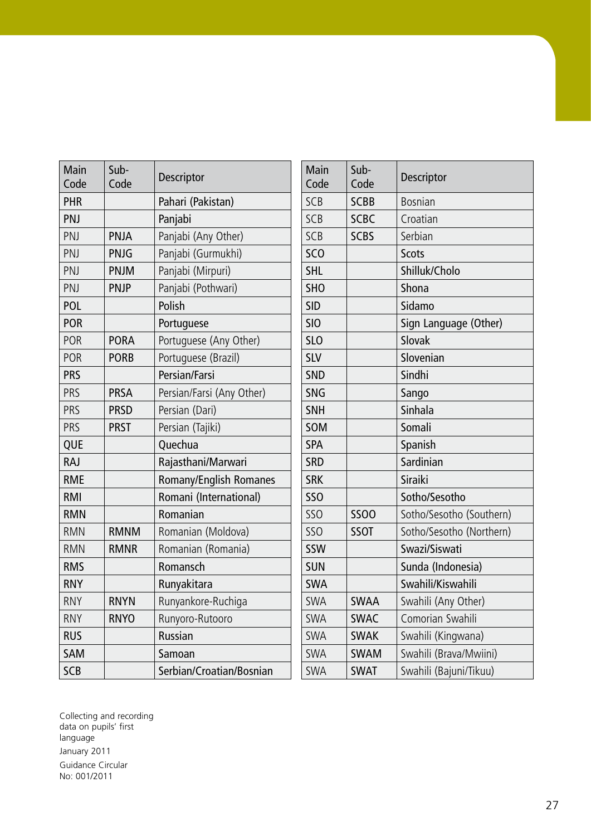| Main<br>Code | Sub-<br>Code | Descriptor                    |
|--------------|--------------|-------------------------------|
| PHR          |              | Pahari (Pakistan)             |
| PNJ          |              | Panjabi                       |
| PNJ          | PNJA         | Panjabi (Any Other)           |
| PNJ          | <b>PNJG</b>  | Panjabi (Gurmukhi)            |
| PNJ          | PNJM         | Panjabi (Mirpuri)             |
| PNJ          | <b>PNJP</b>  | Panjabi (Pothwari)            |
| POL          |              | Polish                        |
| <b>POR</b>   |              | Portuguese                    |
| POR          | <b>PORA</b>  | Portuguese (Any Other)        |
| POR          | <b>PORB</b>  | Portuguese (Brazil)           |
| <b>PRS</b>   |              | Persian/Farsi                 |
| PRS          | <b>PRSA</b>  | Persian/Farsi (Any Other)     |
| PRS          | <b>PRSD</b>  | Persian (Dari)                |
| PRS          | <b>PRST</b>  | Persian (Tajiki)              |
| QUE          |              | Quechua                       |
| <b>RAJ</b>   |              | Rajasthani/Marwari            |
| <b>RME</b>   |              | <b>Romany/English Romanes</b> |
| <b>RMI</b>   |              | Romani (International)        |
| <b>RMN</b>   |              | Romanian                      |
| <b>RMN</b>   | <b>RMNM</b>  | Romanian (Moldova)            |
| <b>RMN</b>   | <b>RMNR</b>  | Romanian (Romania)            |
| <b>RMS</b>   |              | Romansch                      |
| <b>RNY</b>   |              | Runyakitara                   |
| <b>RNY</b>   | <b>RNYN</b>  | Runyankore-Ruchiga            |
| <b>RNY</b>   | <b>RNYO</b>  | Runyoro-Rutooro               |
| <b>RUS</b>   |              | Russian                       |
| <b>SAM</b>   |              | Samoan                        |
| <b>SCB</b>   |              | Serbian/Croatian/Bosnian      |

| Main<br>Code    | Sub-<br>Code | Descriptor               |
|-----------------|--------------|--------------------------|
| SCB             | <b>SCBB</b>  | <b>Bosnian</b>           |
| SCB             | <b>SCBC</b>  | Croatian                 |
| SCB             | <b>SCBS</b>  | Serbian                  |
| SC <sub>O</sub> |              | <b>Scots</b>             |
| <b>SHL</b>      |              | Shilluk/Cholo            |
| <b>SHO</b>      |              | Shona                    |
| <b>SID</b>      |              | Sidamo                   |
| <b>SIO</b>      |              | Sign Language (Other)    |
| SL <sub>O</sub> |              | Slovak                   |
| <b>SLV</b>      |              | Slovenian                |
| <b>SND</b>      |              | Sindhi                   |
| <b>SNG</b>      |              | Sango                    |
| <b>SNH</b>      |              | Sinhala                  |
| SOM             |              | Somali                   |
| <b>SPA</b>      |              | Spanish                  |
| <b>SRD</b>      |              | Sardinian                |
| <b>SRK</b>      |              | <b>Siraiki</b>           |
| <b>SSO</b>      |              | Sotho/Sesotho            |
| SSO             | <b>SSOO</b>  | Sotho/Sesotho (Southern) |
| SSO             | <b>SSOT</b>  | Sotho/Sesotho (Northern) |
| SSW             |              | Swazi/Siswati            |
| <b>SUN</b>      |              | Sunda (Indonesia)        |
| <b>SWA</b>      |              | Swahili/Kiswahili        |
| SWA             | <b>SWAA</b>  | Swahili (Any Other)      |
| <b>SWA</b>      | <b>SWAC</b>  | Comorian Swahili         |
| <b>SWA</b>      | <b>SWAK</b>  | Swahili (Kingwana)       |
| <b>SWA</b>      | <b>SWAM</b>  | Swahili (Brava/Mwiini)   |
| SWA             | <b>SWAT</b>  | Swahili (Bajuni/Tikuu)   |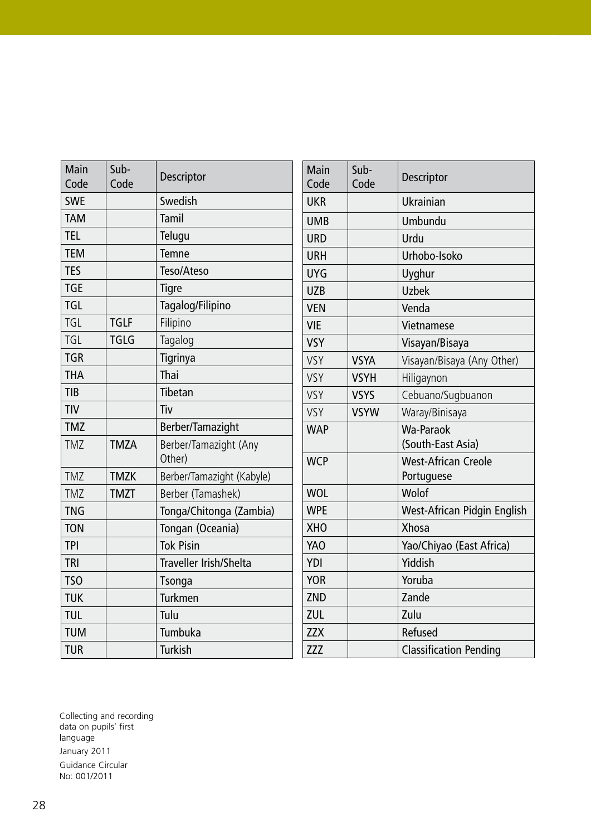| Main<br>Code    | Sub-<br>Code | Descriptor                      |
|-----------------|--------------|---------------------------------|
| <b>SWE</b>      |              | Swedish                         |
| <b>TAM</b>      |              | Tamil                           |
| <b>TEL</b>      |              | Telugu                          |
| <b>TEM</b>      |              | <b>Temne</b>                    |
| <b>TES</b>      |              | Teso/Ateso                      |
| <b>TGE</b>      |              | <b>Tigre</b>                    |
| <b>TGL</b>      |              | Tagalog/Filipino                |
| TGL             | <b>TGLF</b>  | Filipino                        |
| <b>TGL</b>      | <b>TGLG</b>  | Tagalog                         |
| <b>TGR</b>      |              | Tigrinya                        |
| <b>THA</b>      |              | Thai                            |
| <b>TIB</b>      |              | Tibetan                         |
| <b>TIV</b>      |              | Tiv                             |
| <b>TMZ</b>      |              | Berber/Tamazight                |
| <b>TMZ</b>      | <b>TMZA</b>  | Berber/Tamazight (Any<br>Other) |
| <b>TMZ</b>      | <b>TMZK</b>  | Berber/Tamazight (Kabyle)       |
| <b>TMZ</b>      | <b>TMZT</b>  | Berber (Tamashek)               |
| <b>TNG</b>      |              | Tonga/Chitonga (Zambia)         |
| <b>TON</b>      |              | Tongan (Oceania)                |
| <b>TPI</b>      |              | <b>Tok Pisin</b>                |
| <b>TRI</b>      |              | Traveller Irish/Shelta          |
| TS <sub>O</sub> |              | <b>Tsonga</b>                   |
| <b>TUK</b>      |              | <b>Turkmen</b>                  |
| <b>TUL</b>      |              | Tulu                            |
| <b>TUM</b>      |              | Tumbuka                         |
| <b>TUR</b>      |              | <b>Turkish</b>                  |

| Main<br>Code | Sub-<br>Code | Descriptor                         |
|--------------|--------------|------------------------------------|
| <b>UKR</b>   |              | Ukrainian                          |
| <b>UMB</b>   |              | Umbundu                            |
| <b>URD</b>   |              | Urdu                               |
| <b>URH</b>   |              | Urhobo-Isoko                       |
| <b>UYG</b>   |              | Uyghur                             |
| <b>UZB</b>   |              | <b>Uzbek</b>                       |
| <b>VEN</b>   |              | Venda                              |
| <b>VIE</b>   |              | Vietnamese                         |
| <b>VSY</b>   |              | Visayan/Bisaya                     |
| VSY          | <b>VSYA</b>  | Visayan/Bisaya (Any Other)         |
| <b>VSY</b>   | <b>VSYH</b>  | Hiligaynon                         |
| <b>VSY</b>   | <b>VSYS</b>  | Cebuano/Sugbuanon                  |
| <b>VSY</b>   | <b>VSYW</b>  | Waray/Binisaya                     |
| <b>WAP</b>   |              | Wa-Paraok                          |
|              |              | (South-East Asia)                  |
| <b>WCP</b>   |              | <b>West-African Creole</b>         |
|              |              | Portuguese                         |
| <b>WOL</b>   |              | Wolof                              |
| <b>WPE</b>   |              | <b>West-African Pidgin English</b> |
| <b>XHO</b>   |              | Xhosa                              |
| YAO          |              | Yao/Chiyao (East Africa)           |
| YDI          |              | Yiddish                            |
| <b>YOR</b>   |              | Yoruba                             |
| ZND          |              | Zande                              |
| ZUL          |              | Zulu                               |
| <b>ZZX</b>   |              | Refused                            |
| <b>ZZZ</b>   |              | <b>Classification Pending</b>      |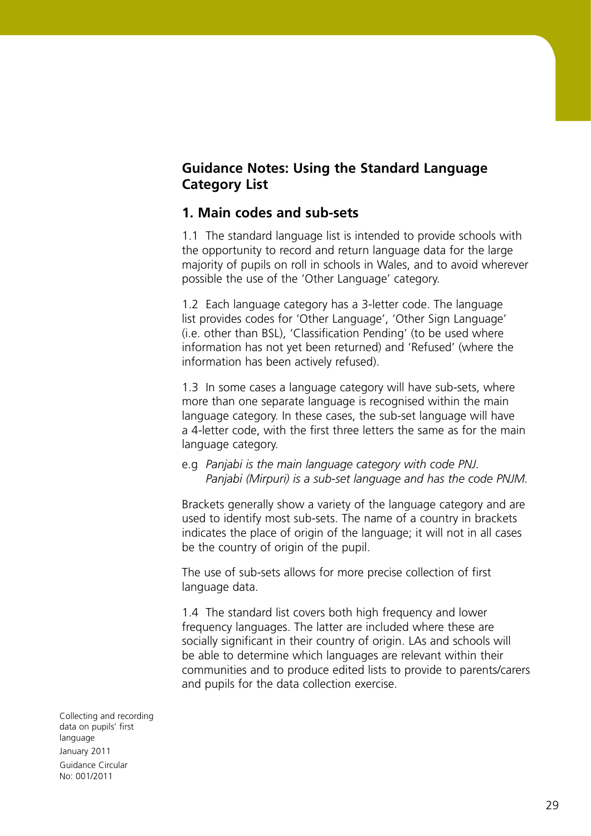# **Guidance Notes: Using the Standard Language Category List**

#### **1. Main codes and sub-sets**

1.1 The standard language list is intended to provide schools with the opportunity to record and return language data for the large majority of pupils on roll in schools in Wales, and to avoid wherever possible the use of the 'Other Language' category.

1.2 Each language category has a 3-letter code. The language list provides codes for 'Other Language', 'Other Sign Language' (i.e. other than BSL), 'Classification Pending' (to be used where information has not yet been returned) and 'Refused' (where the information has been actively refused).

1.3 In some cases a language category will have sub-sets, where more than one separate language is recognised within the main language category. In these cases, the sub-set language will have a 4-letter code, with the first three letters the same as for the main language category.

e.g *Panjabi is the main language category with code PNJ. Panjabi (Mirpuri) is a sub-set language and has the code PNJM.* 

Brackets generally show a variety of the language category and are used to identify most sub-sets. The name of a country in brackets indicates the place of origin of the language; it will not in all cases be the country of origin of the pupil.

The use of sub-sets allows for more precise collection of first language data.

1.4 The standard list covers both high frequency and lower frequency languages. The latter are included where these are socially significant in their country of origin. LAs and schools will be able to determine which languages are relevant within their communities and to produce edited lists to provide to parents/carers and pupils for the data collection exercise.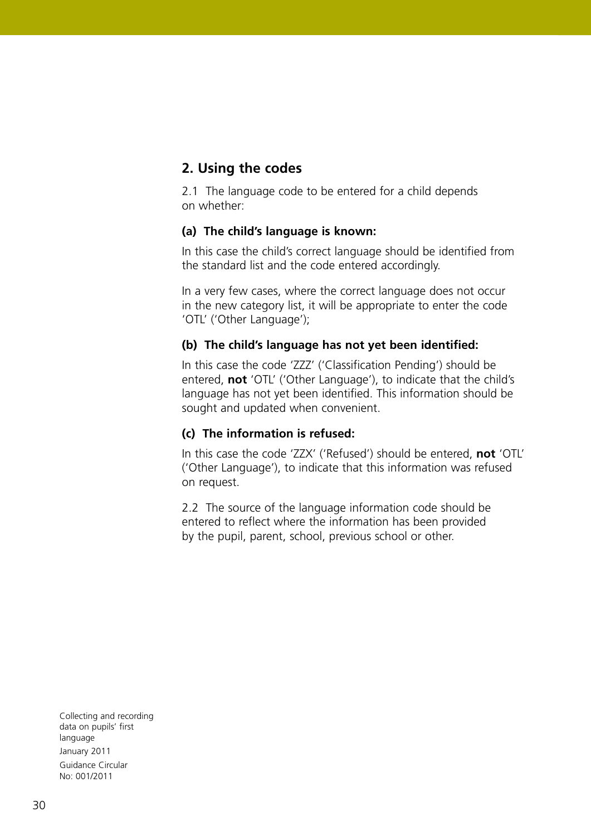# **2. Using the codes**

2.1 The language code to be entered for a child depends on whether:

#### **(a) The child's language is known:**

In this case the child's correct language should be identified from the standard list and the code entered accordingly.

In a very few cases, where the correct language does not occur in the new category list, it will be appropriate to enter the code 'OTL' ('Other Language');

#### **(b) The child's language has not yet been identified:**

In this case the code 'ZZZ' ('Classification Pending') should be entered, **not** 'OTL' ('Other Language'), to indicate that the child's language has not yet been identified. This information should be sought and updated when convenient.

#### **(c) The information is refused:**

In this case the code 'ZZX' ('Refused') should be entered, **not** 'OTL' ('Other Language'), to indicate that this information was refused on request.

2.2 The source of the language information code should be entered to reflect where the information has been provided by the pupil, parent, school, previous school or other.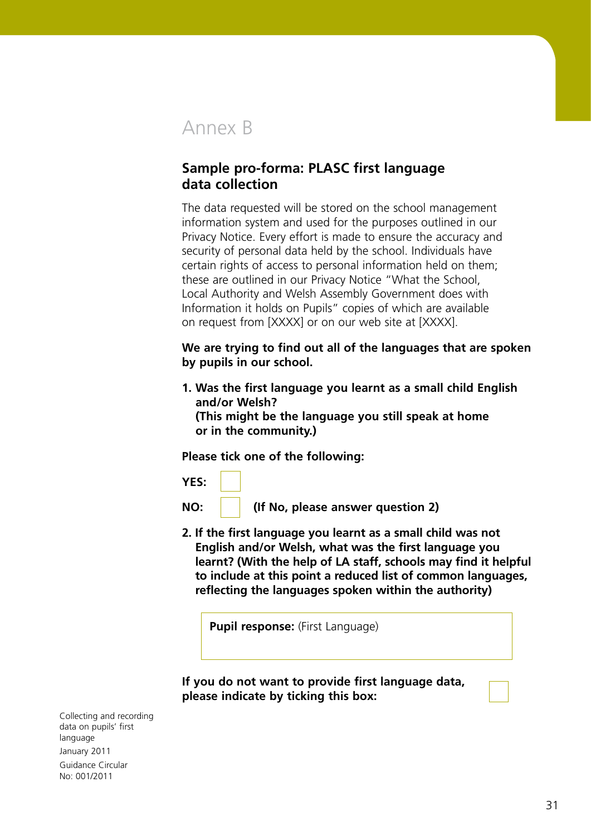# Annex B

# **Sample pro-forma: PLASC first language data collection**

The data requested will be stored on the school management information system and used for the purposes outlined in our Privacy Notice. Every effort is made to ensure the accuracy and security of personal data held by the school. Individuals have certain rights of access to personal information held on them; these are outlined in our Privacy Notice "What the School, Local Authority and Welsh Assembly Government does with Information it holds on Pupils" copies of which are available on request from [XXXX] or on our web site at [XXXX].

**We are trying to find out all of the languages that are spoken by pupils in our school.**

**1. Was the first language you learnt as a small child English and/or Welsh?** 

**(This might be the language you still speak at home or in the community.)**

**Please tick one of the following:**

**YES:**

**NO: (If No, please answer question 2)**

**2. If the first language you learnt as a small child was not English and/or Welsh, what was the first language you learnt? (With the help of LA staff, schools may find it helpful to include at this point a reduced list of common languages, reflecting the languages spoken within the authority)**

**Pupil response:** (First Language)

**If you do not want to provide first language data, please indicate by ticking this box:**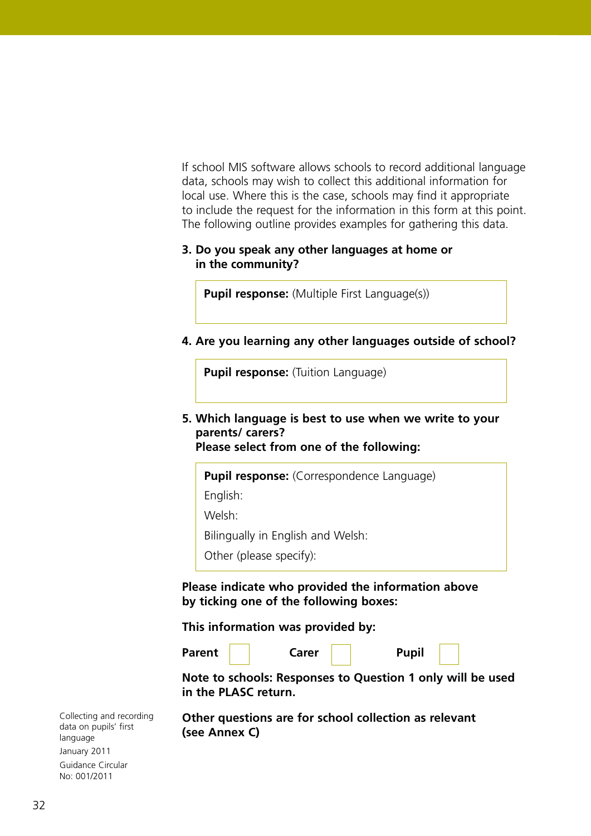If school MIS software allows schools to record additional language data, schools may wish to collect this additional information for local use. Where this is the case, schools may find it appropriate to include the request for the information in this form at this point. The following outline provides examples for gathering this data.

#### **3. Do you speak any other languages at home or in the community?**

**Pupil response:** (Multiple First Language(s))

**4. Are you learning any other languages outside of school?**

**Pupil response:** (Tuition Language)

**5. Which language is best to use when we write to your parents/ carers? Please select from one of the following:**

**Pupil response:** (Correspondence Language)

English:

Welsh:

Bilingually in English and Welsh:

Other (please specify):

**Please indicate who provided the information above by ticking one of the following boxes:**

#### **This information was provided by:**

**Parent Carer l Pupil** 

**Note to schools: Responses to Question 1 only will be used in the PLASC return.**

**Other questions are for school collection as relevant (see Annex C)**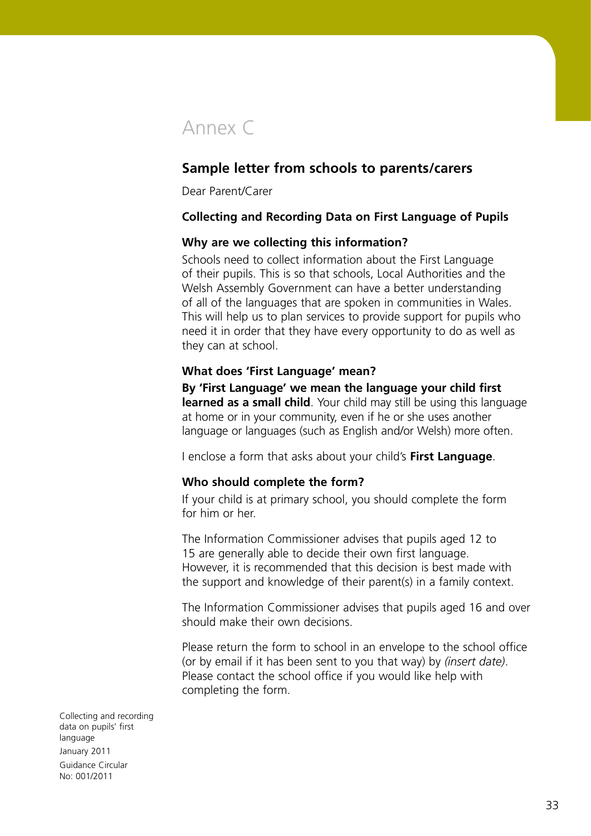# Annex C

# **Sample letter from schools to parents/carers**

Dear Parent/Carer

#### **Collecting and Recording Data on First Language of Pupils**

#### **Why are we collecting this information?**

Schools need to collect information about the First Language of their pupils. This is so that schools, Local Authorities and the Welsh Assembly Government can have a better understanding of all of the languages that are spoken in communities in Wales. This will help us to plan services to provide support for pupils who need it in order that they have every opportunity to do as well as they can at school.

#### **What does 'First Language' mean?**

**By 'First Language' we mean the language your child first learned as a small child**. Your child may still be using this language at home or in your community, even if he or she uses another language or languages (such as English and/or Welsh) more often.

I enclose a form that asks about your child's **First Language**.

#### **Who should complete the form?**

If your child is at primary school, you should complete the form for him or her.

The Information Commissioner advises that pupils aged 12 to 15 are generally able to decide their own first language. However, it is recommended that this decision is best made with the support and knowledge of their parent(s) in a family context.

The Information Commissioner advises that pupils aged 16 and over should make their own decisions.

Please return the form to school in an envelope to the school office (or by email if it has been sent to you that way) by *(insert date)*. Please contact the school office if you would like help with completing the form.